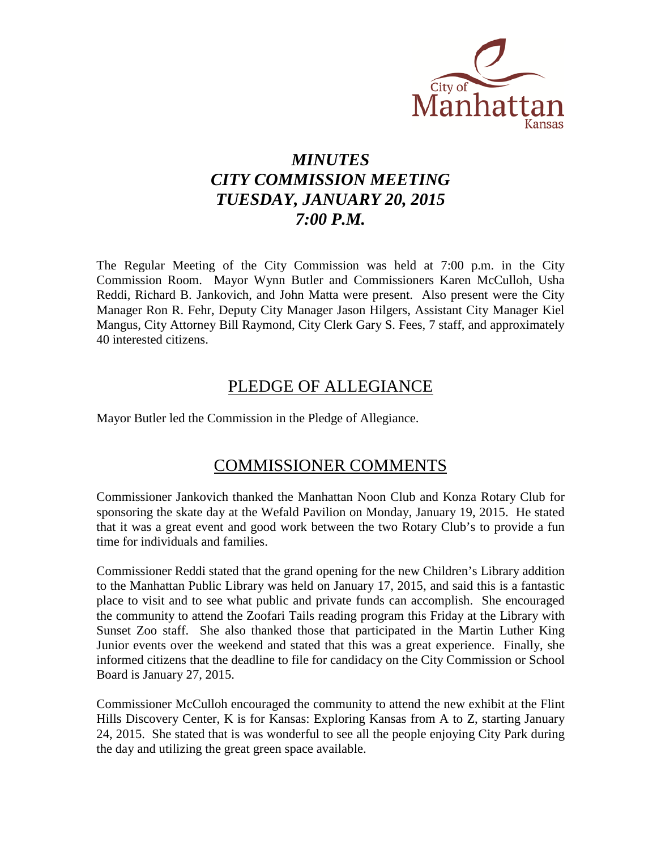

# *MINUTES CITY COMMISSION MEETING TUESDAY, JANUARY 20, 2015 7:00 P.M.*

The Regular Meeting of the City Commission was held at 7:00 p.m. in the City Commission Room. Mayor Wynn Butler and Commissioners Karen McCulloh, Usha Reddi, Richard B. Jankovich, and John Matta were present. Also present were the City Manager Ron R. Fehr, Deputy City Manager Jason Hilgers, Assistant City Manager Kiel Mangus, City Attorney Bill Raymond, City Clerk Gary S. Fees, 7 staff, and approximately 40 interested citizens.

# PLEDGE OF ALLEGIANCE

Mayor Butler led the Commission in the Pledge of Allegiance.

# COMMISSIONER COMMENTS

Commissioner Jankovich thanked the Manhattan Noon Club and Konza Rotary Club for sponsoring the skate day at the Wefald Pavilion on Monday, January 19, 2015. He stated that it was a great event and good work between the two Rotary Club's to provide a fun time for individuals and families.

Commissioner Reddi stated that the grand opening for the new Children's Library addition to the Manhattan Public Library was held on January 17, 2015, and said this is a fantastic place to visit and to see what public and private funds can accomplish. She encouraged the community to attend the Zoofari Tails reading program this Friday at the Library with Sunset Zoo staff. She also thanked those that participated in the Martin Luther King Junior events over the weekend and stated that this was a great experience. Finally, she informed citizens that the deadline to file for candidacy on the City Commission or School Board is January 27, 2015.

Commissioner McCulloh encouraged the community to attend the new exhibit at the Flint Hills Discovery Center, K is for Kansas: Exploring Kansas from A to Z, starting January 24, 2015. She stated that is was wonderful to see all the people enjoying City Park during the day and utilizing the great green space available.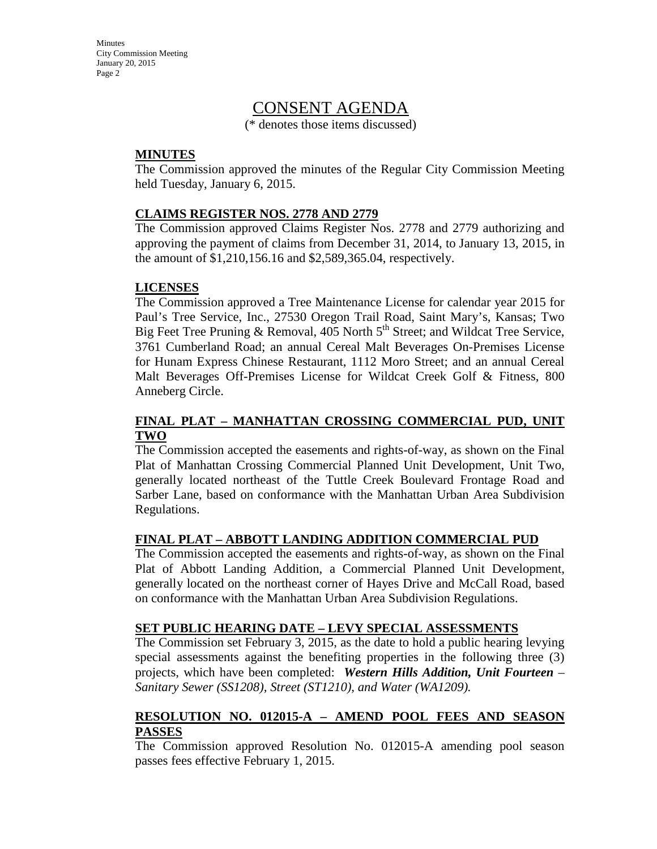**Minutes** City Commission Meeting January 20, 2015 Page 2

# CONSENT AGENDA

(\* denotes those items discussed)

# **MINUTES**

The Commission approved the minutes of the Regular City Commission Meeting held Tuesday, January 6, 2015.

### **CLAIMS REGISTER NOS. 2778 AND 2779**

The Commission approved Claims Register Nos. 2778 and 2779 authorizing and approving the payment of claims from December 31, 2014, to January 13, 2015, in the amount of \$1,210,156.16 and \$2,589,365.04, respectively.

# **LICENSES**

The Commission approved a Tree Maintenance License for calendar year 2015 for Paul's Tree Service, Inc., 27530 Oregon Trail Road, Saint Mary's, Kansas; Two Big Feet Tree Pruning & Removal, 405 North  $5<sup>th</sup>$  Street; and Wildcat Tree Service, 3761 Cumberland Road; an annual Cereal Malt Beverages On-Premises License for Hunam Express Chinese Restaurant, 1112 Moro Street; and an annual Cereal Malt Beverages Off-Premises License for Wildcat Creek Golf & Fitness, 800 Anneberg Circle.

# **FINAL PLAT – MANHATTAN CROSSING COMMERCIAL PUD, UNIT TWO**

The Commission accepted the easements and rights-of-way, as shown on the Final Plat of Manhattan Crossing Commercial Planned Unit Development, Unit Two, generally located northeast of the Tuttle Creek Boulevard Frontage Road and Sarber Lane, based on conformance with the Manhattan Urban Area Subdivision Regulations.

### **FINAL PLAT – ABBOTT LANDING ADDITION COMMERCIAL PUD**

The Commission accepted the easements and rights-of-way, as shown on the Final Plat of Abbott Landing Addition, a Commercial Planned Unit Development, generally located on the northeast corner of Hayes Drive and McCall Road, based on conformance with the Manhattan Urban Area Subdivision Regulations.

### **SET PUBLIC HEARING DATE – LEVY SPECIAL ASSESSMENTS**

The Commission set February 3, 2015, as the date to hold a public hearing levying special assessments against the benefiting properties in the following three (3) projects, which have been completed: *Western Hills Addition, Unit Fourteen – Sanitary Sewer (SS1208), Street (ST1210), and Water (WA1209).*

### **RESOLUTION NO. 012015-A – AMEND POOL FEES AND SEASON PASSES**

The Commission approved Resolution No. 012015-A amending pool season passes fees effective February 1, 2015.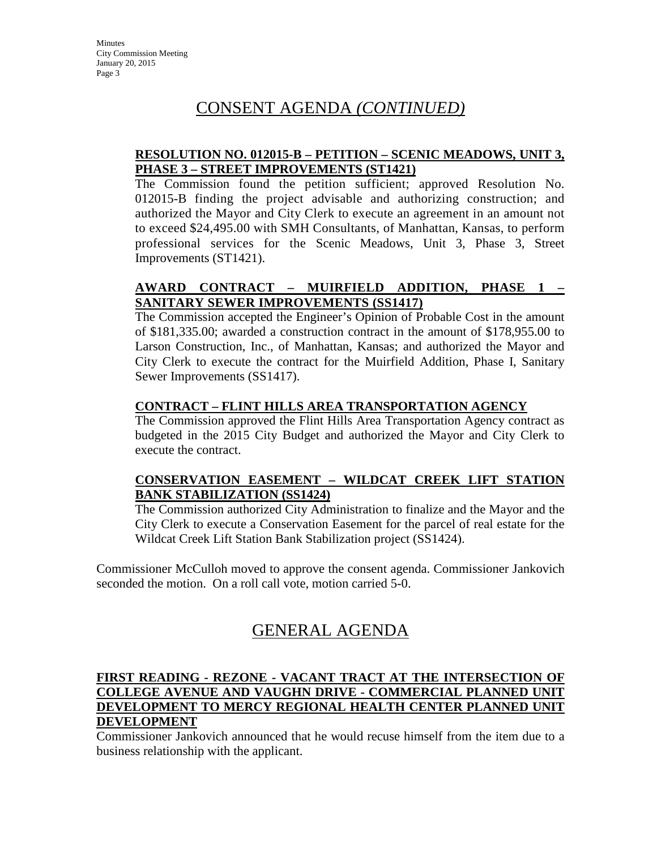# CONSENT AGENDA *(CONTINUED)*

# **RESOLUTION NO. 012015-B – PETITION – SCENIC MEADOWS, UNIT 3, PHASE 3 – STREET IMPROVEMENTS (ST1421)**

The Commission found the petition sufficient; approved Resolution No. 012015-B finding the project advisable and authorizing construction; and authorized the Mayor and City Clerk to execute an agreement in an amount not to exceed \$24,495.00 with SMH Consultants, of Manhattan, Kansas, to perform professional services for the Scenic Meadows, Unit 3, Phase 3, Street Improvements (ST1421).

# **AWARD CONTRACT – MUIRFIELD ADDITION, PHASE 1 – SANITARY SEWER IMPROVEMENTS (SS1417)**

The Commission accepted the Engineer's Opinion of Probable Cost in the amount of \$181,335.00; awarded a construction contract in the amount of \$178,955.00 to Larson Construction, Inc., of Manhattan, Kansas; and authorized the Mayor and City Clerk to execute the contract for the Muirfield Addition, Phase I, Sanitary Sewer Improvements (SS1417).

# **CONTRACT – FLINT HILLS AREA TRANSPORTATION AGENCY**

The Commission approved the Flint Hills Area Transportation Agency contract as budgeted in the 2015 City Budget and authorized the Mayor and City Clerk to execute the contract.

# **CONSERVATION EASEMENT – WILDCAT CREEK LIFT STATION BANK STABILIZATION (SS1424)**

The Commission authorized City Administration to finalize and the Mayor and the City Clerk to execute a Conservation Easement for the parcel of real estate for the Wildcat Creek Lift Station Bank Stabilization project (SS1424).

Commissioner McCulloh moved to approve the consent agenda. Commissioner Jankovich seconded the motion. On a roll call vote, motion carried 5-0.

# GENERAL AGENDA

### **FIRST READING - REZONE - VACANT TRACT AT THE INTERSECTION OF COLLEGE AVENUE AND VAUGHN DRIVE - COMMERCIAL PLANNED UNIT DEVELOPMENT TO MERCY REGIONAL HEALTH CENTER PLANNED UNIT DEVELOPMENT**

Commissioner Jankovich announced that he would recuse himself from the item due to a business relationship with the applicant.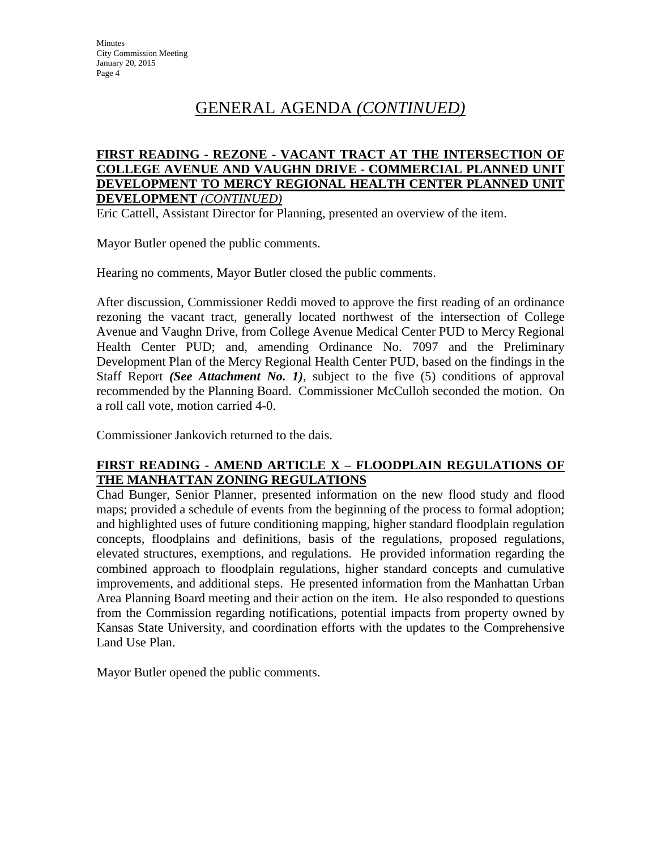### **FIRST READING - REZONE - VACANT TRACT AT THE INTERSECTION OF COLLEGE AVENUE AND VAUGHN DRIVE - COMMERCIAL PLANNED UNIT DEVELOPMENT TO MERCY REGIONAL HEALTH CENTER PLANNED UNIT DEVELOPMENT** *(CONTINUED)*

Eric Cattell, Assistant Director for Planning, presented an overview of the item.

Mayor Butler opened the public comments.

Hearing no comments, Mayor Butler closed the public comments.

After discussion, Commissioner Reddi moved to approve the first reading of an ordinance rezoning the vacant tract, generally located northwest of the intersection of College Avenue and Vaughn Drive, from College Avenue Medical Center PUD to Mercy Regional Health Center PUD; and, amending Ordinance No. 7097 and the Preliminary Development Plan of the Mercy Regional Health Center PUD, based on the findings in the Staff Report *(See Attachment No. 1)*, subject to the five (5) conditions of approval recommended by the Planning Board. Commissioner McCulloh seconded the motion. On a roll call vote, motion carried 4-0.

Commissioner Jankovich returned to the dais.

# **FIRST READING - AMEND ARTICLE X – FLOODPLAIN REGULATIONS OF THE MANHATTAN ZONING REGULATIONS**

Chad Bunger, Senior Planner, presented information on the new flood study and flood maps; provided a schedule of events from the beginning of the process to formal adoption; and highlighted uses of future conditioning mapping, higher standard floodplain regulation concepts, floodplains and definitions, basis of the regulations, proposed regulations, elevated structures, exemptions, and regulations. He provided information regarding the combined approach to floodplain regulations, higher standard concepts and cumulative improvements, and additional steps. He presented information from the Manhattan Urban Area Planning Board meeting and their action on the item. He also responded to questions from the Commission regarding notifications, potential impacts from property owned by Kansas State University, and coordination efforts with the updates to the Comprehensive Land Use Plan.

Mayor Butler opened the public comments.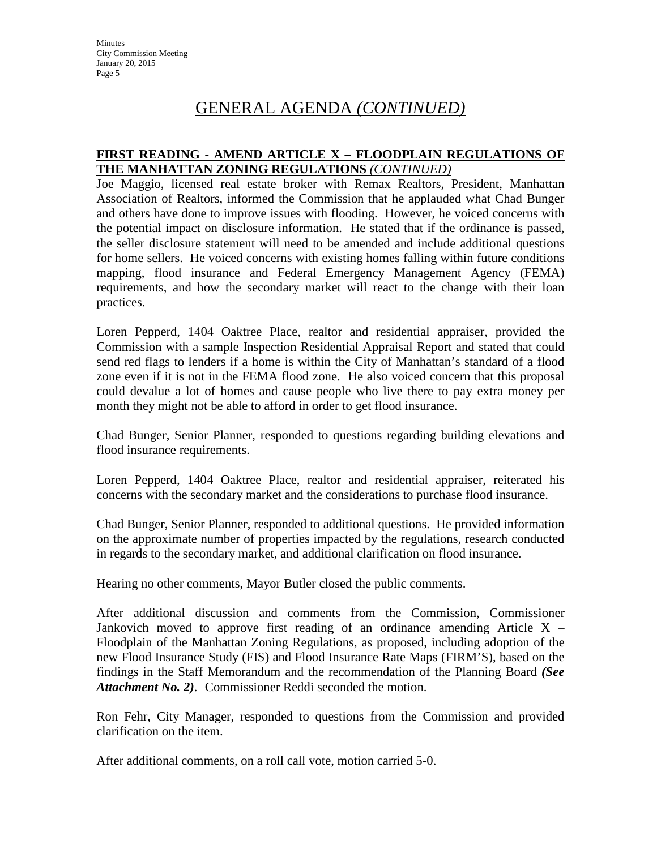### **FIRST READING - AMEND ARTICLE X – FLOODPLAIN REGULATIONS OF THE MANHATTAN ZONING REGULATIONS** *(CONTINUED)*

Joe Maggio, licensed real estate broker with Remax Realtors, President, Manhattan Association of Realtors, informed the Commission that he applauded what Chad Bunger and others have done to improve issues with flooding. However, he voiced concerns with the potential impact on disclosure information. He stated that if the ordinance is passed, the seller disclosure statement will need to be amended and include additional questions for home sellers. He voiced concerns with existing homes falling within future conditions mapping, flood insurance and Federal Emergency Management Agency (FEMA) requirements, and how the secondary market will react to the change with their loan practices.

Loren Pepperd, 1404 Oaktree Place, realtor and residential appraiser, provided the Commission with a sample Inspection Residential Appraisal Report and stated that could send red flags to lenders if a home is within the City of Manhattan's standard of a flood zone even if it is not in the FEMA flood zone. He also voiced concern that this proposal could devalue a lot of homes and cause people who live there to pay extra money per month they might not be able to afford in order to get flood insurance.

Chad Bunger, Senior Planner, responded to questions regarding building elevations and flood insurance requirements.

Loren Pepperd, 1404 Oaktree Place, realtor and residential appraiser, reiterated his concerns with the secondary market and the considerations to purchase flood insurance.

Chad Bunger, Senior Planner, responded to additional questions. He provided information on the approximate number of properties impacted by the regulations, research conducted in regards to the secondary market, and additional clarification on flood insurance.

Hearing no other comments, Mayor Butler closed the public comments.

After additional discussion and comments from the Commission, Commissioner Jankovich moved to approve first reading of an ordinance amending Article  $X -$ Floodplain of the Manhattan Zoning Regulations, as proposed, including adoption of the new Flood Insurance Study (FIS) and Flood Insurance Rate Maps (FIRM'S), based on the findings in the Staff Memorandum and the recommendation of the Planning Board *(See Attachment No. 2)*. Commissioner Reddi seconded the motion.

Ron Fehr, City Manager, responded to questions from the Commission and provided clarification on the item.

After additional comments, on a roll call vote, motion carried 5-0.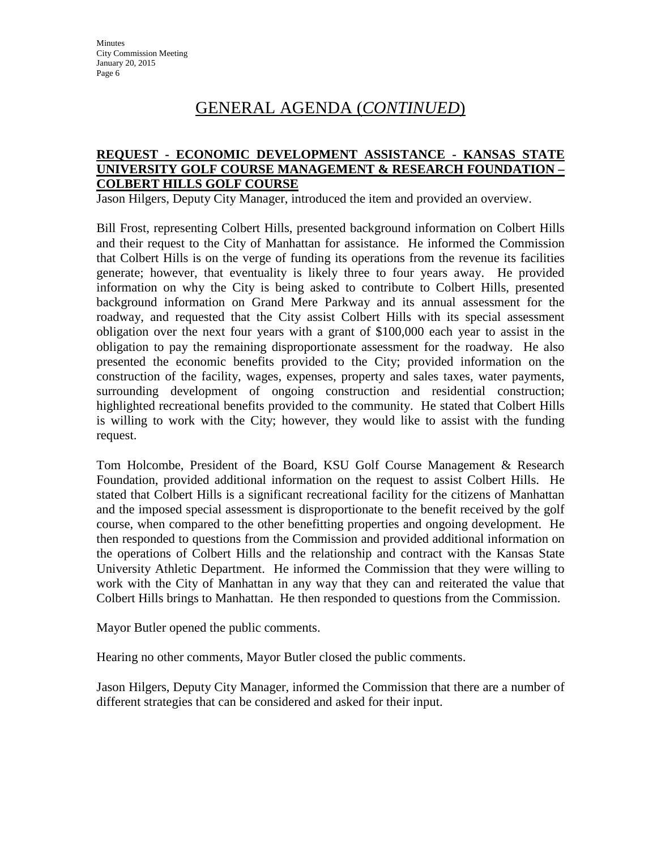### **REQUEST - ECONOMIC DEVELOPMENT ASSISTANCE - KANSAS STATE UNIVERSITY GOLF COURSE MANAGEMENT & RESEARCH FOUNDATION – COLBERT HILLS GOLF COURSE**

Jason Hilgers, Deputy City Manager, introduced the item and provided an overview.

Bill Frost, representing Colbert Hills, presented background information on Colbert Hills and their request to the City of Manhattan for assistance. He informed the Commission that Colbert Hills is on the verge of funding its operations from the revenue its facilities generate; however, that eventuality is likely three to four years away. He provided information on why the City is being asked to contribute to Colbert Hills, presented background information on Grand Mere Parkway and its annual assessment for the roadway, and requested that the City assist Colbert Hills with its special assessment obligation over the next four years with a grant of \$100,000 each year to assist in the obligation to pay the remaining disproportionate assessment for the roadway. He also presented the economic benefits provided to the City; provided information on the construction of the facility, wages, expenses, property and sales taxes, water payments, surrounding development of ongoing construction and residential construction; highlighted recreational benefits provided to the community. He stated that Colbert Hills is willing to work with the City; however, they would like to assist with the funding request.

Tom Holcombe, President of the Board, KSU Golf Course Management & Research Foundation, provided additional information on the request to assist Colbert Hills. He stated that Colbert Hills is a significant recreational facility for the citizens of Manhattan and the imposed special assessment is disproportionate to the benefit received by the golf course, when compared to the other benefitting properties and ongoing development. He then responded to questions from the Commission and provided additional information on the operations of Colbert Hills and the relationship and contract with the Kansas State University Athletic Department. He informed the Commission that they were willing to work with the City of Manhattan in any way that they can and reiterated the value that Colbert Hills brings to Manhattan. He then responded to questions from the Commission.

Mayor Butler opened the public comments.

Hearing no other comments, Mayor Butler closed the public comments.

Jason Hilgers, Deputy City Manager, informed the Commission that there are a number of different strategies that can be considered and asked for their input.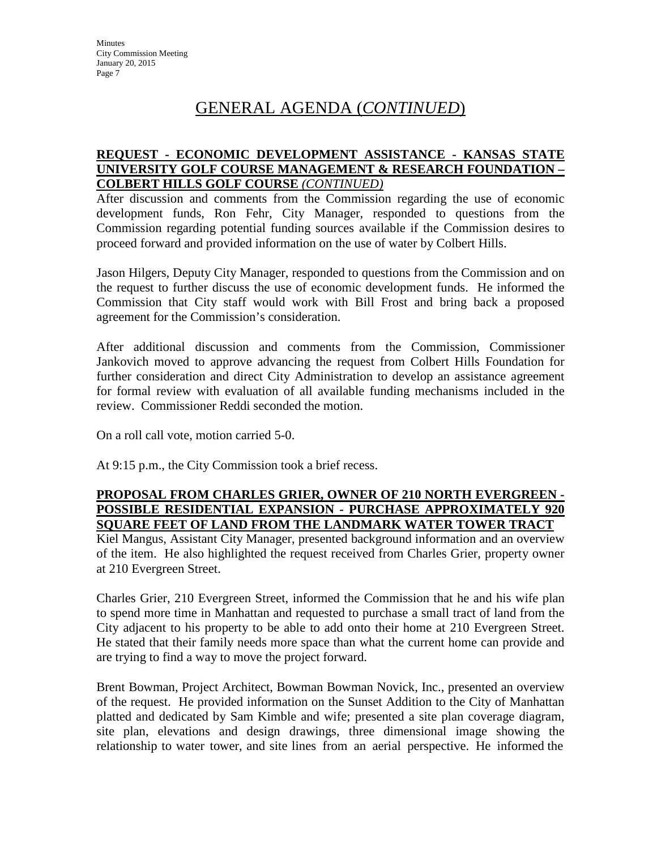# **REQUEST - ECONOMIC DEVELOPMENT ASSISTANCE - KANSAS STATE UNIVERSITY GOLF COURSE MANAGEMENT & RESEARCH FOUNDATION – COLBERT HILLS GOLF COURSE** *(CONTINUED)*

After discussion and comments from the Commission regarding the use of economic development funds, Ron Fehr, City Manager, responded to questions from the Commission regarding potential funding sources available if the Commission desires to proceed forward and provided information on the use of water by Colbert Hills.

Jason Hilgers, Deputy City Manager, responded to questions from the Commission and on the request to further discuss the use of economic development funds. He informed the Commission that City staff would work with Bill Frost and bring back a proposed agreement for the Commission's consideration.

After additional discussion and comments from the Commission, Commissioner Jankovich moved to approve advancing the request from Colbert Hills Foundation for further consideration and direct City Administration to develop an assistance agreement for formal review with evaluation of all available funding mechanisms included in the review. Commissioner Reddi seconded the motion.

On a roll call vote, motion carried 5-0.

At 9:15 p.m., the City Commission took a brief recess.

### **PROPOSAL FROM CHARLES GRIER, OWNER OF 210 NORTH EVERGREEN - POSSIBLE RESIDENTIAL EXPANSION - PURCHASE APPROXIMATELY 920 SQUARE FEET OF LAND FROM THE LANDMARK WATER TOWER TRACT**

Kiel Mangus, Assistant City Manager, presented background information and an overview of the item. He also highlighted the request received from Charles Grier, property owner at 210 Evergreen Street.

Charles Grier, 210 Evergreen Street, informed the Commission that he and his wife plan to spend more time in Manhattan and requested to purchase a small tract of land from the City adjacent to his property to be able to add onto their home at 210 Evergreen Street. He stated that their family needs more space than what the current home can provide and are trying to find a way to move the project forward.

Brent Bowman, Project Architect, Bowman Bowman Novick, Inc., presented an overview of the request. He provided information on the Sunset Addition to the City of Manhattan platted and dedicated by Sam Kimble and wife; presented a site plan coverage diagram, site plan, elevations and design drawings, three dimensional image showing the relationship to water tower, and site lines from an aerial perspective. He informed the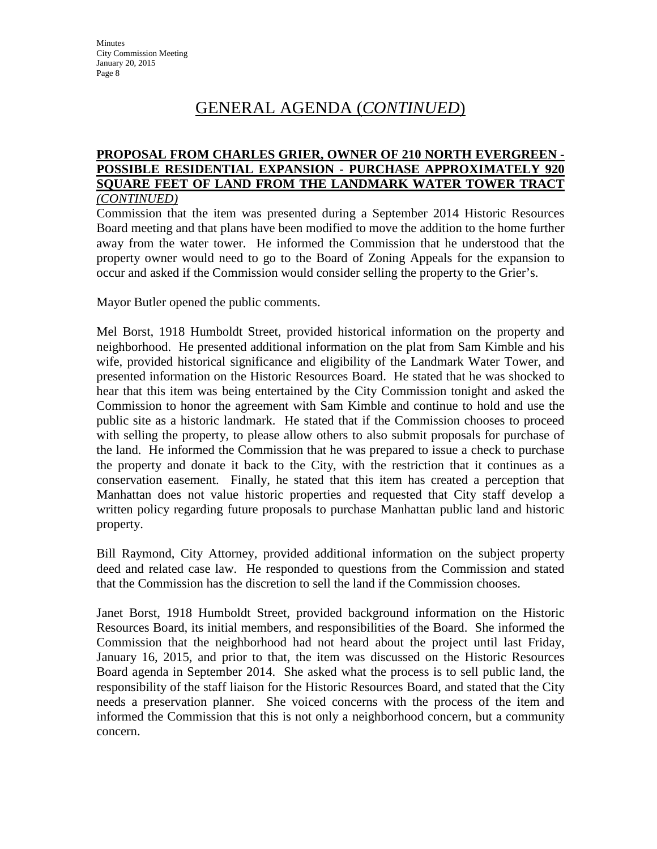#### **PROPOSAL FROM CHARLES GRIER, OWNER OF 210 NORTH EVERGREEN - POSSIBLE RESIDENTIAL EXPANSION - PURCHASE APPROXIMATELY 920 SQUARE FEET OF LAND FROM THE LANDMARK WATER TOWER TRACT** *(CONTINUED)*

Commission that the item was presented during a September 2014 Historic Resources Board meeting and that plans have been modified to move the addition to the home further away from the water tower. He informed the Commission that he understood that the property owner would need to go to the Board of Zoning Appeals for the expansion to occur and asked if the Commission would consider selling the property to the Grier's.

Mayor Butler opened the public comments.

Mel Borst, 1918 Humboldt Street, provided historical information on the property and neighborhood. He presented additional information on the plat from Sam Kimble and his wife, provided historical significance and eligibility of the Landmark Water Tower, and presented information on the Historic Resources Board. He stated that he was shocked to hear that this item was being entertained by the City Commission tonight and asked the Commission to honor the agreement with Sam Kimble and continue to hold and use the public site as a historic landmark. He stated that if the Commission chooses to proceed with selling the property, to please allow others to also submit proposals for purchase of the land. He informed the Commission that he was prepared to issue a check to purchase the property and donate it back to the City, with the restriction that it continues as a conservation easement. Finally, he stated that this item has created a perception that Manhattan does not value historic properties and requested that City staff develop a written policy regarding future proposals to purchase Manhattan public land and historic property.

Bill Raymond, City Attorney, provided additional information on the subject property deed and related case law. He responded to questions from the Commission and stated that the Commission has the discretion to sell the land if the Commission chooses.

Janet Borst, 1918 Humboldt Street, provided background information on the Historic Resources Board, its initial members, and responsibilities of the Board. She informed the Commission that the neighborhood had not heard about the project until last Friday, January 16, 2015, and prior to that, the item was discussed on the Historic Resources Board agenda in September 2014. She asked what the process is to sell public land, the responsibility of the staff liaison for the Historic Resources Board, and stated that the City needs a preservation planner. She voiced concerns with the process of the item and informed the Commission that this is not only a neighborhood concern, but a community concern.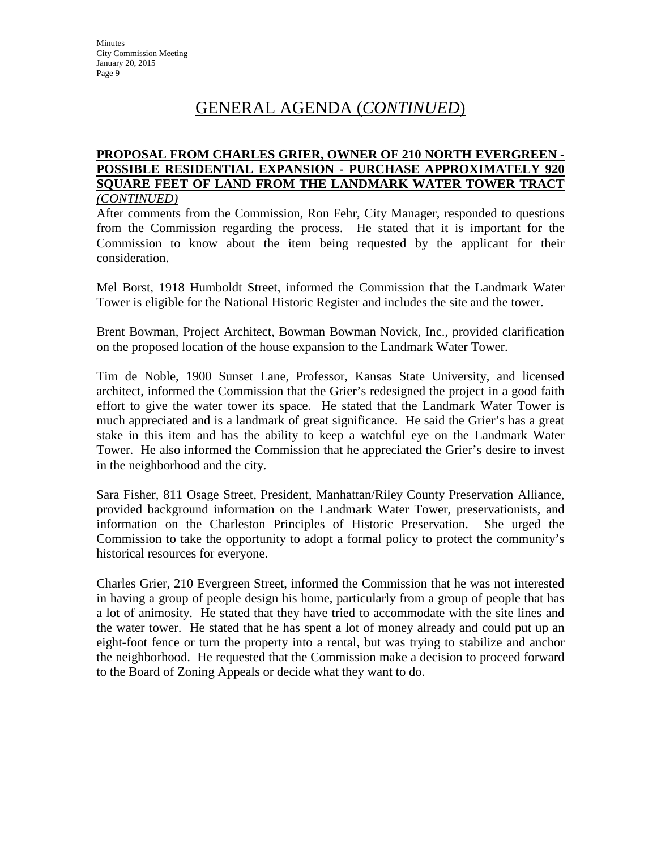#### **PROPOSAL FROM CHARLES GRIER, OWNER OF 210 NORTH EVERGREEN - POSSIBLE RESIDENTIAL EXPANSION - PURCHASE APPROXIMATELY 920 SQUARE FEET OF LAND FROM THE LANDMARK WATER TOWER TRACT** *(CONTINUED)*

After comments from the Commission, Ron Fehr, City Manager, responded to questions from the Commission regarding the process. He stated that it is important for the Commission to know about the item being requested by the applicant for their consideration.

Mel Borst, 1918 Humboldt Street, informed the Commission that the Landmark Water Tower is eligible for the National Historic Register and includes the site and the tower.

Brent Bowman, Project Architect, Bowman Bowman Novick, Inc., provided clarification on the proposed location of the house expansion to the Landmark Water Tower.

Tim de Noble, 1900 Sunset Lane, Professor, Kansas State University, and licensed architect, informed the Commission that the Grier's redesigned the project in a good faith effort to give the water tower its space. He stated that the Landmark Water Tower is much appreciated and is a landmark of great significance. He said the Grier's has a great stake in this item and has the ability to keep a watchful eye on the Landmark Water Tower. He also informed the Commission that he appreciated the Grier's desire to invest in the neighborhood and the city.

Sara Fisher, 811 Osage Street, President, Manhattan/Riley County Preservation Alliance, provided background information on the Landmark Water Tower, preservationists, and information on the Charleston Principles of Historic Preservation. She urged the Commission to take the opportunity to adopt a formal policy to protect the community's historical resources for everyone.

Charles Grier, 210 Evergreen Street, informed the Commission that he was not interested in having a group of people design his home, particularly from a group of people that has a lot of animosity. He stated that they have tried to accommodate with the site lines and the water tower. He stated that he has spent a lot of money already and could put up an eight-foot fence or turn the property into a rental, but was trying to stabilize and anchor the neighborhood. He requested that the Commission make a decision to proceed forward to the Board of Zoning Appeals or decide what they want to do.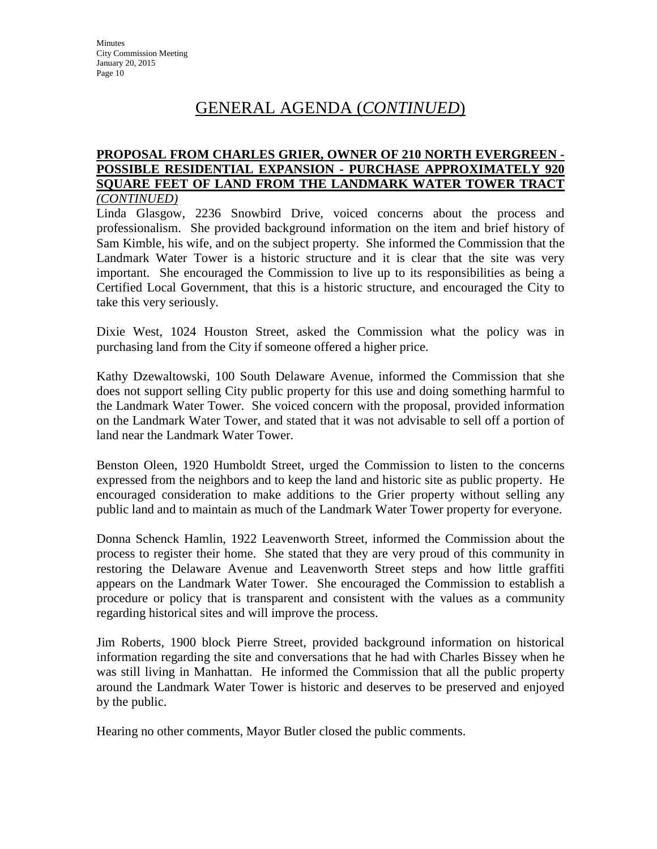#### **PROPOSAL FROM CHARLES GRIER, OWNER OF 210 NORTH EVERGREEN - POSSIBLE RESIDENTIAL EXPANSION - PURCHASE APPROXIMATELY 920 SQUARE FEET OF LAND FROM THE LANDMARK WATER TOWER TRACT** *(CONTINUED)*

Linda Glasgow, 2236 Snowbird Drive, voiced concerns about the process and professionalism. She provided background information on the item and brief history of Sam Kimble, his wife, and on the subject property. She informed the Commission that the Landmark Water Tower is a historic structure and it is clear that the site was very important. She encouraged the Commission to live up to its responsibilities as being a Certified Local Government, that this is a historic structure, and encouraged the City to take this very seriously.

Dixie West, 1024 Houston Street, asked the Commission what the policy was in purchasing land from the City if someone offered a higher price.

Kathy Dzewaltowski, 100 South Delaware Avenue, informed the Commission that she does not support selling City public property for this use and doing something harmful to the Landmark Water Tower. She voiced concern with the proposal, provided information on the Landmark Water Tower, and stated that it was not advisable to sell off a portion of land near the Landmark Water Tower.

Benston Oleen, 1920 Humboldt Street, urged the Commission to listen to the concerns expressed from the neighbors and to keep the land and historic site as public property. He encouraged consideration to make additions to the Grier property without selling any public land and to maintain as much of the Landmark Water Tower property for everyone.

Donna Schenck Hamlin, 1922 Leavenworth Street, informed the Commission about the process to register their home. She stated that they are very proud of this community in restoring the Delaware Avenue and Leavenworth Street steps and how little graffiti appears on the Landmark Water Tower. She encouraged the Commission to establish a procedure or policy that is transparent and consistent with the values as a community regarding historical sites and will improve the process.

Jim Roberts, 1900 block Pierre Street, provided background information on historical information regarding the site and conversations that he had with Charles Bissey when he was still living in Manhattan. He informed the Commission that all the public property around the Landmark Water Tower is historic and deserves to be preserved and enjoyed by the public.

Hearing no other comments, Mayor Butler closed the public comments.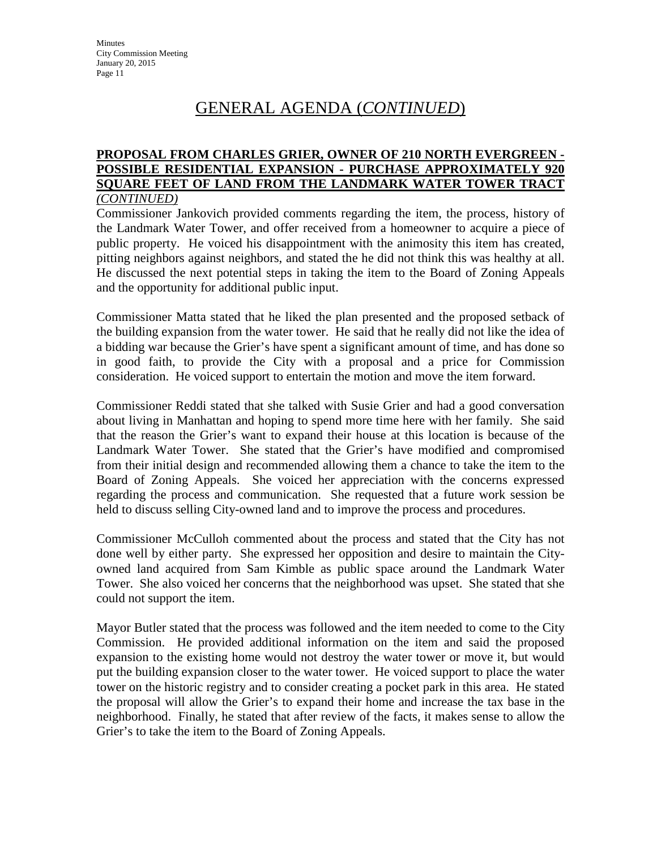### **PROPOSAL FROM CHARLES GRIER, OWNER OF 210 NORTH EVERGREEN - POSSIBLE RESIDENTIAL EXPANSION - PURCHASE APPROXIMATELY 920 SQUARE FEET OF LAND FROM THE LANDMARK WATER TOWER TRACT** *(CONTINUED)*

Commissioner Jankovich provided comments regarding the item, the process, history of the Landmark Water Tower, and offer received from a homeowner to acquire a piece of public property. He voiced his disappointment with the animosity this item has created, pitting neighbors against neighbors, and stated the he did not think this was healthy at all. He discussed the next potential steps in taking the item to the Board of Zoning Appeals and the opportunity for additional public input.

Commissioner Matta stated that he liked the plan presented and the proposed setback of the building expansion from the water tower. He said that he really did not like the idea of a bidding war because the Grier's have spent a significant amount of time, and has done so in good faith, to provide the City with a proposal and a price for Commission consideration. He voiced support to entertain the motion and move the item forward.

Commissioner Reddi stated that she talked with Susie Grier and had a good conversation about living in Manhattan and hoping to spend more time here with her family. She said that the reason the Grier's want to expand their house at this location is because of the Landmark Water Tower. She stated that the Grier's have modified and compromised from their initial design and recommended allowing them a chance to take the item to the Board of Zoning Appeals. She voiced her appreciation with the concerns expressed regarding the process and communication. She requested that a future work session be held to discuss selling City-owned land and to improve the process and procedures.

Commissioner McCulloh commented about the process and stated that the City has not done well by either party. She expressed her opposition and desire to maintain the Cityowned land acquired from Sam Kimble as public space around the Landmark Water Tower. She also voiced her concerns that the neighborhood was upset. She stated that she could not support the item.

Mayor Butler stated that the process was followed and the item needed to come to the City Commission. He provided additional information on the item and said the proposed expansion to the existing home would not destroy the water tower or move it, but would put the building expansion closer to the water tower. He voiced support to place the water tower on the historic registry and to consider creating a pocket park in this area. He stated the proposal will allow the Grier's to expand their home and increase the tax base in the neighborhood. Finally, he stated that after review of the facts, it makes sense to allow the Grier's to take the item to the Board of Zoning Appeals.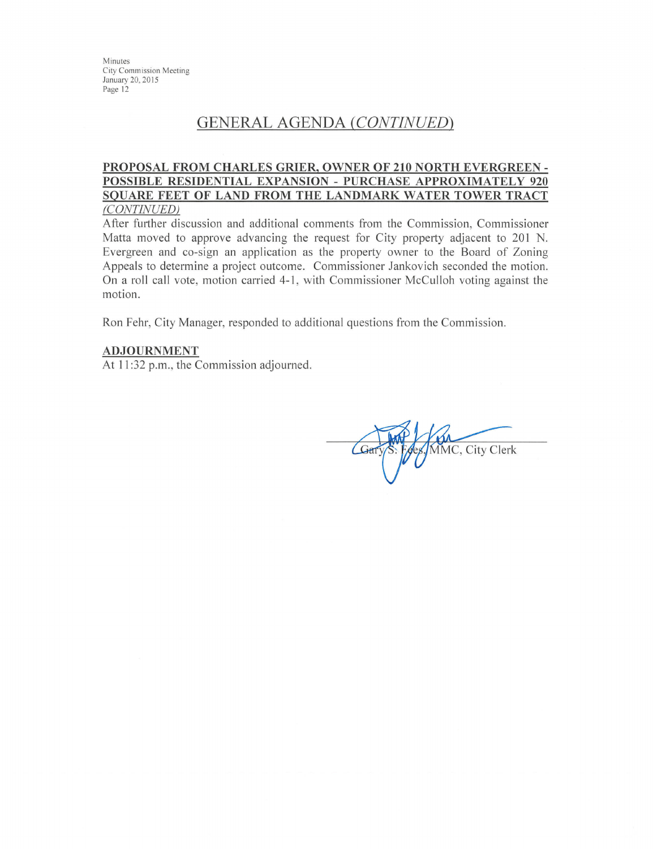Minutes **City Commission Meeting** January 20, 2015 Page 12

# **GENERAL AGENDA (CONTINUED)**

#### PROPOSAL FROM CHARLES GRIER, OWNER OF 210 NORTH EVERGREEN -POSSIBLE RESIDENTIAL EXPANSION - PURCHASE APPROXIMATELY 920 SQUARE FEET OF LAND FROM THE LANDMARK WATER TOWER TRACT (CONTINUED)

After further discussion and additional comments from the Commission, Commissioner Matta moved to approve advancing the request for City property adjacent to 201 N. Evergreen and co-sign an application as the property owner to the Board of Zoning Appeals to determine a project outcome. Commissioner Jankovich seconded the motion. On a roll call vote, motion carried 4-1, with Commissioner McCulloh voting against the motion.

Ron Fehr, City Manager, responded to additional questions from the Commission.

#### **ADJOURNMENT**

At 11:32 p.m., the Commission adjourned.

MMC, City Clerk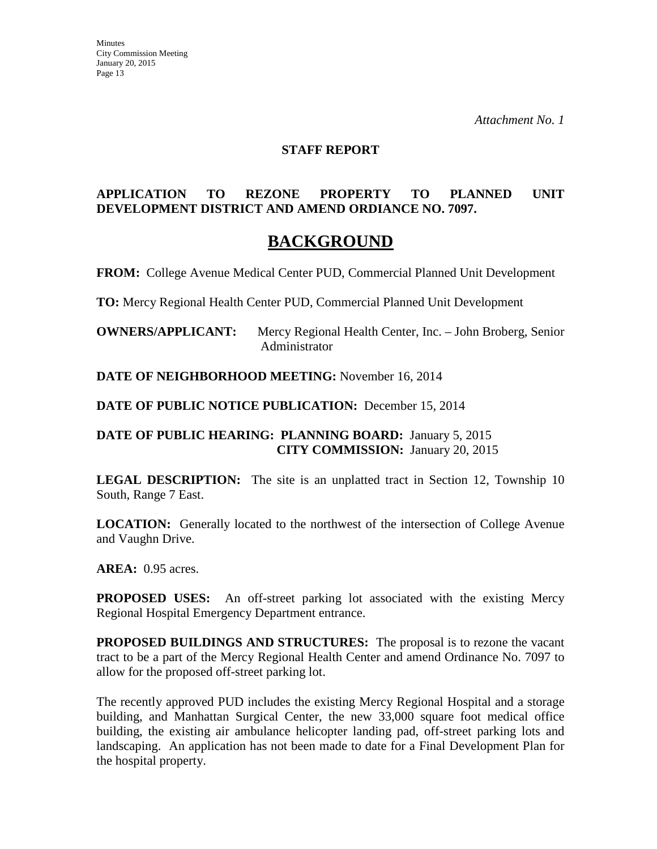#### **STAFF REPORT**

# **APPLICATION TO REZONE PROPERTY TO PLANNED UNIT DEVELOPMENT DISTRICT AND AMEND ORDIANCE NO. 7097.**

# **BACKGROUND**

**FROM:** College Avenue Medical Center PUD, Commercial Planned Unit Development

**TO:** Mercy Regional Health Center PUD, Commercial Planned Unit Development

**OWNERS/APPLICANT:** Mercy Regional Health Center, Inc. – John Broberg, Senior Administrator

**DATE OF NEIGHBORHOOD MEETING:** November 16, 2014

**DATE OF PUBLIC NOTICE PUBLICATION:** December 15, 2014

**DATE OF PUBLIC HEARING: PLANNING BOARD:** January 5, 2015 **CITY COMMISSION:** January 20, 2015

**LEGAL DESCRIPTION:** The site is an unplatted tract in Section 12, Township 10 South, Range 7 East.

**LOCATION:** Generally located to the northwest of the intersection of College Avenue and Vaughn Drive.

**AREA:** 0.95 acres.

**PROPOSED USES:** An off-street parking lot associated with the existing Mercy Regional Hospital Emergency Department entrance.

**PROPOSED BUILDINGS AND STRUCTURES:** The proposal is to rezone the vacant tract to be a part of the Mercy Regional Health Center and amend Ordinance No. 7097 to allow for the proposed off-street parking lot.

The recently approved PUD includes the existing Mercy Regional Hospital and a storage building, and Manhattan Surgical Center, the new 33,000 square foot medical office building, the existing air ambulance helicopter landing pad, off-street parking lots and landscaping. An application has not been made to date for a Final Development Plan for the hospital property.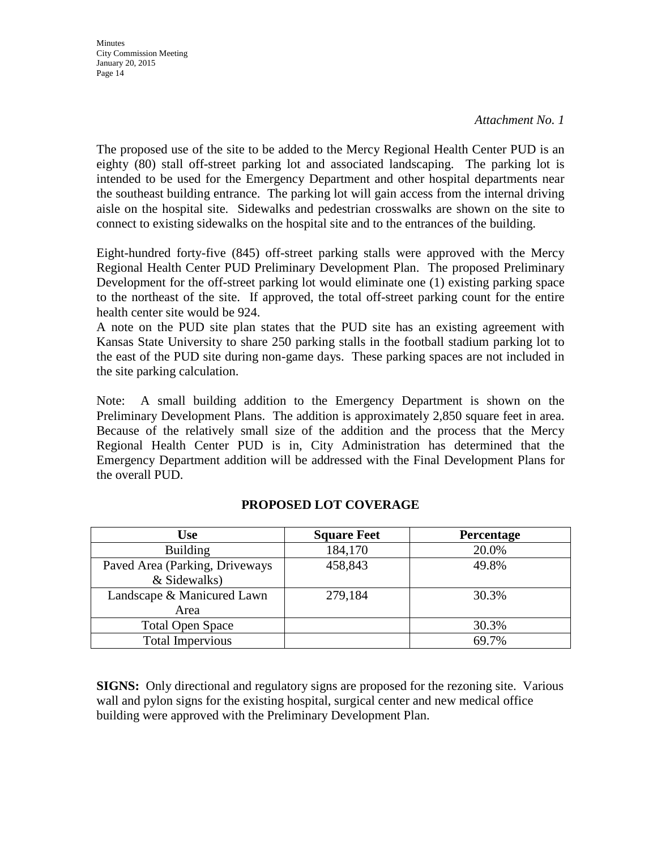**Minutes** City Commission Meeting January 20, 2015 Page 14

The proposed use of the site to be added to the Mercy Regional Health Center PUD is an eighty (80) stall off-street parking lot and associated landscaping. The parking lot is intended to be used for the Emergency Department and other hospital departments near the southeast building entrance. The parking lot will gain access from the internal driving aisle on the hospital site. Sidewalks and pedestrian crosswalks are shown on the site to connect to existing sidewalks on the hospital site and to the entrances of the building.

Eight-hundred forty-five (845) off-street parking stalls were approved with the Mercy Regional Health Center PUD Preliminary Development Plan. The proposed Preliminary Development for the off-street parking lot would eliminate one (1) existing parking space to the northeast of the site. If approved, the total off-street parking count for the entire health center site would be 924.

A note on the PUD site plan states that the PUD site has an existing agreement with Kansas State University to share 250 parking stalls in the football stadium parking lot to the east of the PUD site during non-game days. These parking spaces are not included in the site parking calculation.

Note: A small building addition to the Emergency Department is shown on the Preliminary Development Plans. The addition is approximately 2,850 square feet in area. Because of the relatively small size of the addition and the process that the Mercy Regional Health Center PUD is in, City Administration has determined that the Emergency Department addition will be addressed with the Final Development Plans for the overall PUD.

| <b>Use</b>                     | <b>Square Feet</b> | Percentage |
|--------------------------------|--------------------|------------|
| <b>Building</b>                | 184,170            | 20.0%      |
| Paved Area (Parking, Driveways | 458,843            | 49.8%      |
| & Sidewalks)                   |                    |            |
| Landscape & Manicured Lawn     | 279,184            | 30.3%      |
| Area                           |                    |            |
| <b>Total Open Space</b>        |                    | 30.3%      |
| <b>Total Impervious</b>        |                    | 69.7%      |

# **PROPOSED LOT COVERAGE**

**SIGNS:** Only directional and regulatory signs are proposed for the rezoning site. Various wall and pylon signs for the existing hospital, surgical center and new medical office building were approved with the Preliminary Development Plan.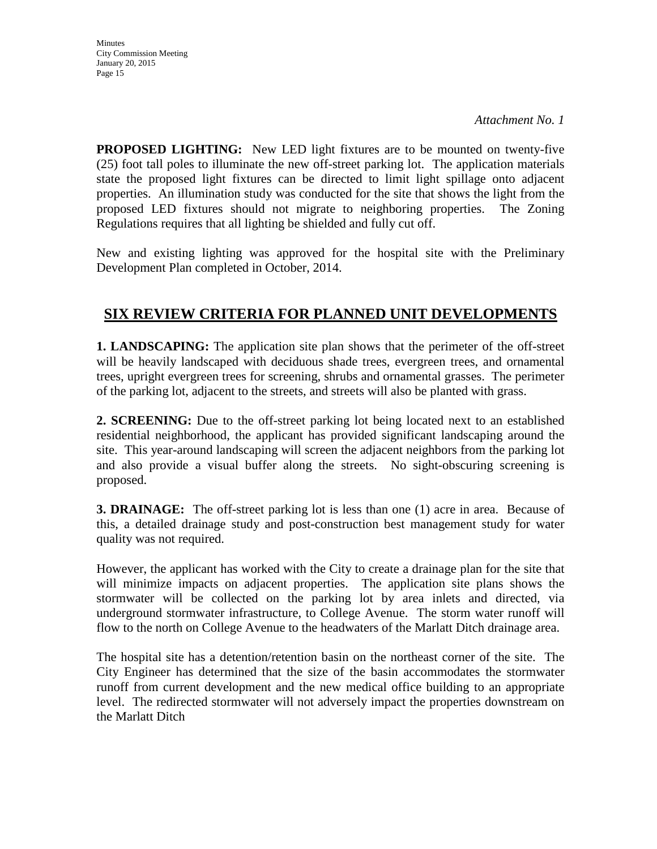**Minutes** City Commission Meeting January 20, 2015 Page 15

**PROPOSED LIGHTING:** New LED light fixtures are to be mounted on twenty-five (25) foot tall poles to illuminate the new off-street parking lot. The application materials state the proposed light fixtures can be directed to limit light spillage onto adjacent properties. An illumination study was conducted for the site that shows the light from the proposed LED fixtures should not migrate to neighboring properties. The Zoning Regulations requires that all lighting be shielded and fully cut off.

New and existing lighting was approved for the hospital site with the Preliminary Development Plan completed in October, 2014.

# **SIX REVIEW CRITERIA FOR PLANNED UNIT DEVELOPMENTS**

**1. LANDSCAPING:** The application site plan shows that the perimeter of the off-street will be heavily landscaped with deciduous shade trees, evergreen trees, and ornamental trees, upright evergreen trees for screening, shrubs and ornamental grasses. The perimeter of the parking lot, adjacent to the streets, and streets will also be planted with grass.

**2. SCREENING:** Due to the off-street parking lot being located next to an established residential neighborhood, the applicant has provided significant landscaping around the site. This year-around landscaping will screen the adjacent neighbors from the parking lot and also provide a visual buffer along the streets. No sight-obscuring screening is proposed.

**3. DRAINAGE:** The off-street parking lot is less than one (1) acre in area. Because of this, a detailed drainage study and post-construction best management study for water quality was not required.

However, the applicant has worked with the City to create a drainage plan for the site that will minimize impacts on adjacent properties. The application site plans shows the stormwater will be collected on the parking lot by area inlets and directed, via underground stormwater infrastructure, to College Avenue. The storm water runoff will flow to the north on College Avenue to the headwaters of the Marlatt Ditch drainage area.

The hospital site has a detention/retention basin on the northeast corner of the site. The City Engineer has determined that the size of the basin accommodates the stormwater runoff from current development and the new medical office building to an appropriate level. The redirected stormwater will not adversely impact the properties downstream on the Marlatt Ditch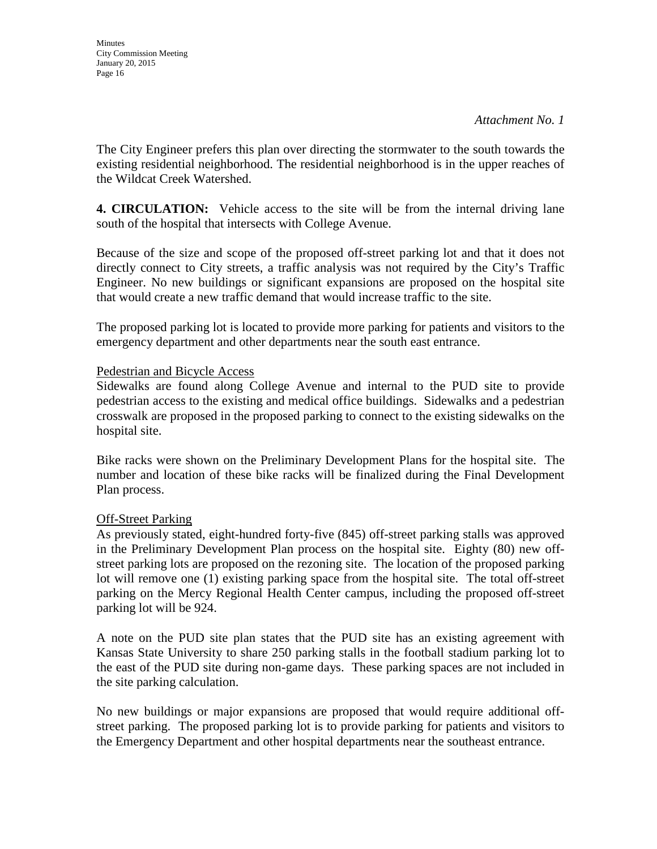The City Engineer prefers this plan over directing the stormwater to the south towards the existing residential neighborhood. The residential neighborhood is in the upper reaches of the Wildcat Creek Watershed.

**4. CIRCULATION:** Vehicle access to the site will be from the internal driving lane south of the hospital that intersects with College Avenue.

Because of the size and scope of the proposed off-street parking lot and that it does not directly connect to City streets, a traffic analysis was not required by the City's Traffic Engineer. No new buildings or significant expansions are proposed on the hospital site that would create a new traffic demand that would increase traffic to the site.

The proposed parking lot is located to provide more parking for patients and visitors to the emergency department and other departments near the south east entrance.

# Pedestrian and Bicycle Access

Sidewalks are found along College Avenue and internal to the PUD site to provide pedestrian access to the existing and medical office buildings. Sidewalks and a pedestrian crosswalk are proposed in the proposed parking to connect to the existing sidewalks on the hospital site.

Bike racks were shown on the Preliminary Development Plans for the hospital site. The number and location of these bike racks will be finalized during the Final Development Plan process.

# Off-Street Parking

As previously stated, eight-hundred forty-five (845) off-street parking stalls was approved in the Preliminary Development Plan process on the hospital site. Eighty (80) new offstreet parking lots are proposed on the rezoning site. The location of the proposed parking lot will remove one (1) existing parking space from the hospital site. The total off-street parking on the Mercy Regional Health Center campus, including the proposed off-street parking lot will be 924.

A note on the PUD site plan states that the PUD site has an existing agreement with Kansas State University to share 250 parking stalls in the football stadium parking lot to the east of the PUD site during non-game days. These parking spaces are not included in the site parking calculation.

No new buildings or major expansions are proposed that would require additional offstreet parking. The proposed parking lot is to provide parking for patients and visitors to the Emergency Department and other hospital departments near the southeast entrance.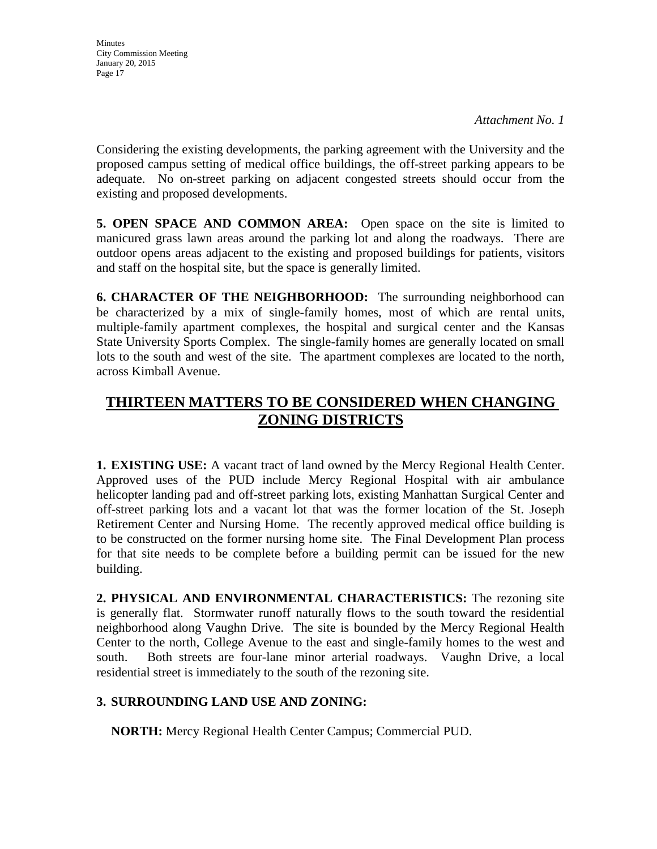Considering the existing developments, the parking agreement with the University and the proposed campus setting of medical office buildings, the off-street parking appears to be adequate. No on-street parking on adjacent congested streets should occur from the existing and proposed developments.

**5. OPEN SPACE AND COMMON AREA:** Open space on the site is limited to manicured grass lawn areas around the parking lot and along the roadways. There are outdoor opens areas adjacent to the existing and proposed buildings for patients, visitors and staff on the hospital site, but the space is generally limited.

**6. CHARACTER OF THE NEIGHBORHOOD:** The surrounding neighborhood can be characterized by a mix of single-family homes, most of which are rental units, multiple-family apartment complexes, the hospital and surgical center and the Kansas State University Sports Complex. The single-family homes are generally located on small lots to the south and west of the site. The apartment complexes are located to the north, across Kimball Avenue.

# **THIRTEEN MATTERS TO BE CONSIDERED WHEN CHANGING ZONING DISTRICTS**

**1. EXISTING USE:** A vacant tract of land owned by the Mercy Regional Health Center. Approved uses of the PUD include Mercy Regional Hospital with air ambulance helicopter landing pad and off-street parking lots, existing Manhattan Surgical Center and off-street parking lots and a vacant lot that was the former location of the St. Joseph Retirement Center and Nursing Home. The recently approved medical office building is to be constructed on the former nursing home site. The Final Development Plan process for that site needs to be complete before a building permit can be issued for the new building.

**2. PHYSICAL AND ENVIRONMENTAL CHARACTERISTICS:** The rezoning site is generally flat. Stormwater runoff naturally flows to the south toward the residential neighborhood along Vaughn Drive. The site is bounded by the Mercy Regional Health Center to the north, College Avenue to the east and single-family homes to the west and south. Both streets are four-lane minor arterial roadways. Vaughn Drive, a local residential street is immediately to the south of the rezoning site.

# **3. SURROUNDING LAND USE AND ZONING:**

**NORTH:** Mercy Regional Health Center Campus; Commercial PUD.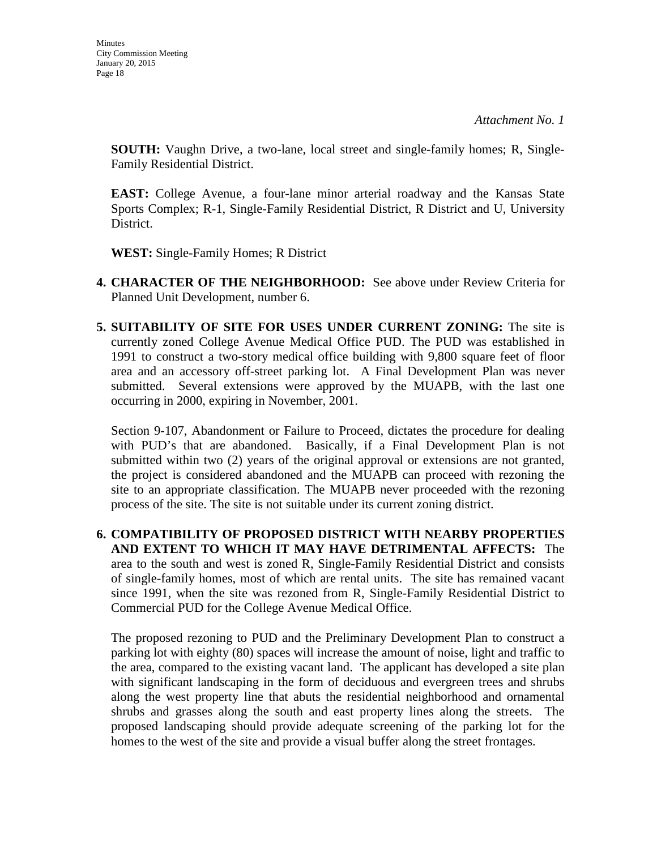**SOUTH:** Vaughn Drive, a two-lane, local street and single-family homes; R, Single-Family Residential District.

**EAST:** College Avenue, a four-lane minor arterial roadway and the Kansas State Sports Complex; R-1, Single-Family Residential District, R District and U, University District.

**WEST:** Single-Family Homes; R District

- **4. CHARACTER OF THE NEIGHBORHOOD:** See above under Review Criteria for Planned Unit Development, number 6.
- **5. SUITABILITY OF SITE FOR USES UNDER CURRENT ZONING:** The site is currently zoned College Avenue Medical Office PUD. The PUD was established in 1991 to construct a two-story medical office building with 9,800 square feet of floor area and an accessory off-street parking lot. A Final Development Plan was never submitted. Several extensions were approved by the MUAPB, with the last one occurring in 2000, expiring in November, 2001.

Section 9-107, Abandonment or Failure to Proceed, dictates the procedure for dealing with PUD's that are abandoned. Basically, if a Final Development Plan is not submitted within two (2) years of the original approval or extensions are not granted, the project is considered abandoned and the MUAPB can proceed with rezoning the site to an appropriate classification. The MUAPB never proceeded with the rezoning process of the site. The site is not suitable under its current zoning district.

**6. COMPATIBILITY OF PROPOSED DISTRICT WITH NEARBY PROPERTIES AND EXTENT TO WHICH IT MAY HAVE DETRIMENTAL AFFECTS:** The area to the south and west is zoned R, Single-Family Residential District and consists of single-family homes, most of which are rental units. The site has remained vacant since 1991, when the site was rezoned from R, Single-Family Residential District to Commercial PUD for the College Avenue Medical Office.

The proposed rezoning to PUD and the Preliminary Development Plan to construct a parking lot with eighty (80) spaces will increase the amount of noise, light and traffic to the area, compared to the existing vacant land. The applicant has developed a site plan with significant landscaping in the form of deciduous and evergreen trees and shrubs along the west property line that abuts the residential neighborhood and ornamental shrubs and grasses along the south and east property lines along the streets. The proposed landscaping should provide adequate screening of the parking lot for the homes to the west of the site and provide a visual buffer along the street frontages.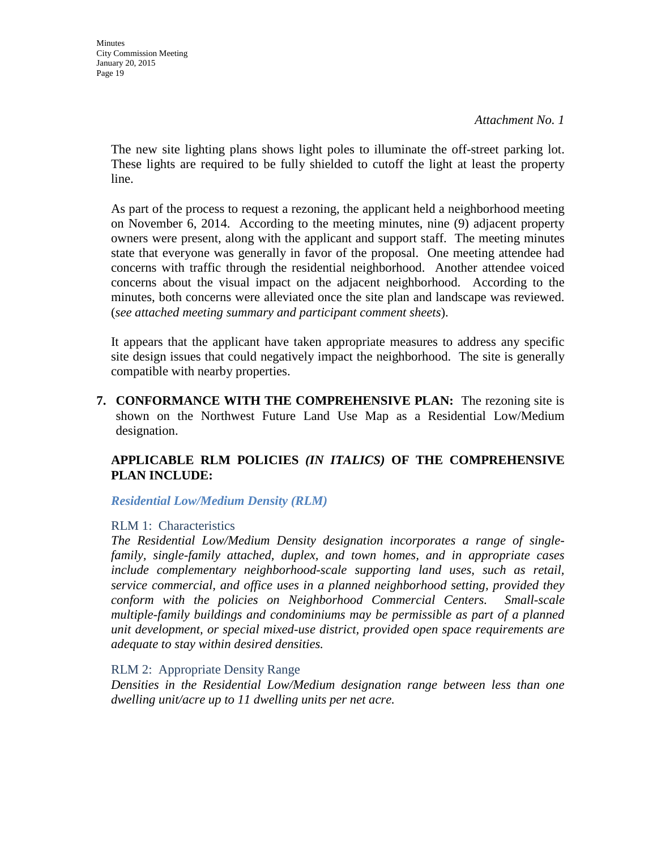**Minutes** City Commission Meeting January 20, 2015 Page 19

*Attachment No. 1*

The new site lighting plans shows light poles to illuminate the off-street parking lot. These lights are required to be fully shielded to cutoff the light at least the property line.

As part of the process to request a rezoning, the applicant held a neighborhood meeting on November 6, 2014. According to the meeting minutes, nine (9) adjacent property owners were present, along with the applicant and support staff. The meeting minutes state that everyone was generally in favor of the proposal. One meeting attendee had concerns with traffic through the residential neighborhood. Another attendee voiced concerns about the visual impact on the adjacent neighborhood. According to the minutes, both concerns were alleviated once the site plan and landscape was reviewed. (*see attached meeting summary and participant comment sheets*).

It appears that the applicant have taken appropriate measures to address any specific site design issues that could negatively impact the neighborhood. The site is generally compatible with nearby properties.

**7. CONFORMANCE WITH THE COMPREHENSIVE PLAN:** The rezoning site is shown on the Northwest Future Land Use Map as a Residential Low/Medium designation.

# **APPLICABLE RLM POLICIES** *(IN ITALICS)* **OF THE COMPREHENSIVE PLAN INCLUDE:**

*Residential Low/Medium Density (RLM)*

#### RLM 1: Characteristics

*The Residential Low/Medium Density designation incorporates a range of singlefamily, single-family attached, duplex, and town homes, and in appropriate cases include complementary neighborhood-scale supporting land uses, such as retail, service commercial, and office uses in a planned neighborhood setting, provided they conform with the policies on Neighborhood Commercial Centers. Small-scale multiple-family buildings and condominiums may be permissible as part of a planned unit development, or special mixed-use district, provided open space requirements are adequate to stay within desired densities.* 

### RLM 2: Appropriate Density Range

*Densities in the Residential Low/Medium designation range between less than one dwelling unit/acre up to 11 dwelling units per net acre.*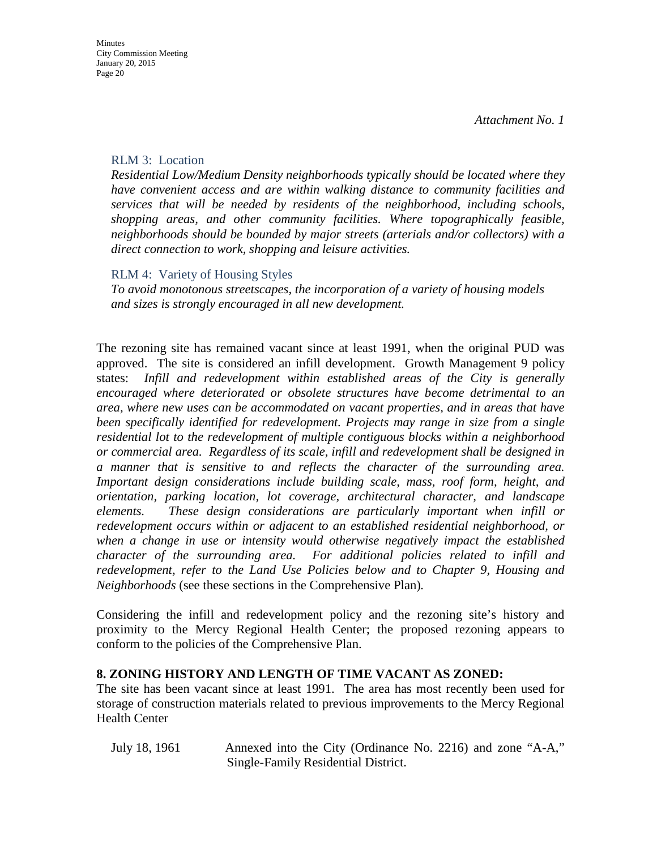### RLM 3: Location

*Residential Low/Medium Density neighborhoods typically should be located where they have convenient access and are within walking distance to community facilities and services that will be needed by residents of the neighborhood, including schools, shopping areas, and other community facilities. Where topographically feasible, neighborhoods should be bounded by major streets (arterials and/or collectors) with a direct connection to work, shopping and leisure activities.* 

### RLM 4: Variety of Housing Styles

*To avoid monotonous streetscapes, the incorporation of a variety of housing models and sizes is strongly encouraged in all new development.* 

The rezoning site has remained vacant since at least 1991, when the original PUD was approved. The site is considered an infill development. Growth Management 9 policy states: *Infill and redevelopment within established areas of the City is generally encouraged where deteriorated or obsolete structures have become detrimental to an area, where new uses can be accommodated on vacant properties, and in areas that have been specifically identified for redevelopment. Projects may range in size from a single residential lot to the redevelopment of multiple contiguous blocks within a neighborhood or commercial area. Regardless of its scale, infill and redevelopment shall be designed in a manner that is sensitive to and reflects the character of the surrounding area. Important design considerations include building scale, mass, roof form, height, and orientation, parking location, lot coverage, architectural character, and landscape elements. These design considerations are particularly important when infill or redevelopment occurs within or adjacent to an established residential neighborhood, or when a change in use or intensity would otherwise negatively impact the established character of the surrounding area. For additional policies related to infill and redevelopment, refer to the Land Use Policies below and to Chapter 9, Housing and Neighborhoods* (see these sections in the Comprehensive Plan)*.*

Considering the infill and redevelopment policy and the rezoning site's history and proximity to the Mercy Regional Health Center; the proposed rezoning appears to conform to the policies of the Comprehensive Plan.

### **8. ZONING HISTORY AND LENGTH OF TIME VACANT AS ZONED:**

The site has been vacant since at least 1991. The area has most recently been used for storage of construction materials related to previous improvements to the Mercy Regional Health Center

July 18, 1961 Annexed into the City (Ordinance No. 2216) and zone "A-A," Single-Family Residential District.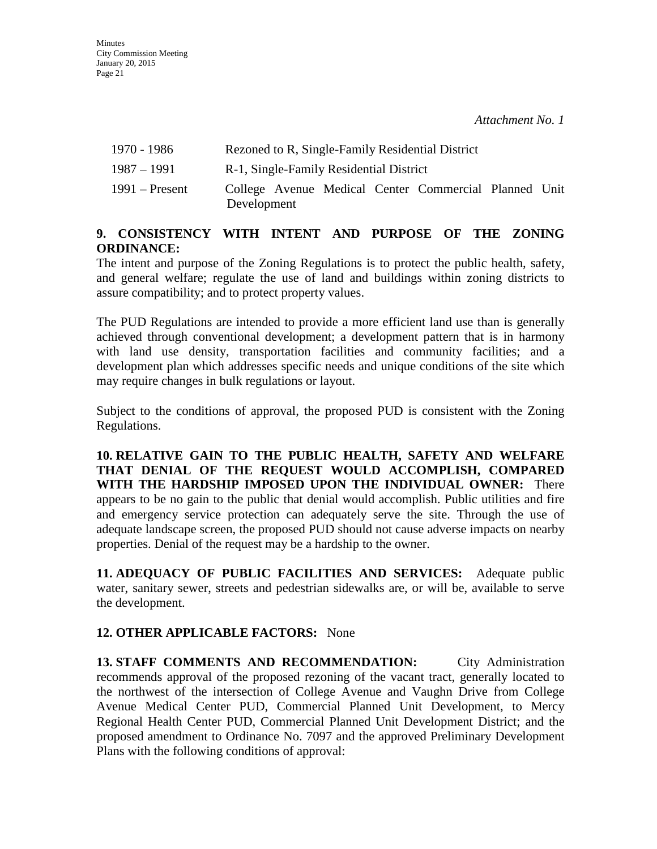| 1970 - 1986      |             |                                         | Rezoned to R, Single-Family Residential District      |  |
|------------------|-------------|-----------------------------------------|-------------------------------------------------------|--|
| 1987 – 1991      |             | R-1, Single-Family Residential District |                                                       |  |
| $1991 -$ Present | Development |                                         | College Avenue Medical Center Commercial Planned Unit |  |

# **9. CONSISTENCY WITH INTENT AND PURPOSE OF THE ZONING ORDINANCE:**

The intent and purpose of the Zoning Regulations is to protect the public health, safety, and general welfare; regulate the use of land and buildings within zoning districts to assure compatibility; and to protect property values.

The PUD Regulations are intended to provide a more efficient land use than is generally achieved through conventional development; a development pattern that is in harmony with land use density, transportation facilities and community facilities; and a development plan which addresses specific needs and unique conditions of the site which may require changes in bulk regulations or layout.

Subject to the conditions of approval, the proposed PUD is consistent with the Zoning Regulations.

**10. RELATIVE GAIN TO THE PUBLIC HEALTH, SAFETY AND WELFARE THAT DENIAL OF THE REQUEST WOULD ACCOMPLISH, COMPARED WITH THE HARDSHIP IMPOSED UPON THE INDIVIDUAL OWNER:** There appears to be no gain to the public that denial would accomplish. Public utilities and fire and emergency service protection can adequately serve the site. Through the use of adequate landscape screen, the proposed PUD should not cause adverse impacts on nearby properties. Denial of the request may be a hardship to the owner.

**11. ADEQUACY OF PUBLIC FACILITIES AND SERVICES:** Adequate public water, sanitary sewer, streets and pedestrian sidewalks are, or will be, available to serve the development.

# **12. OTHER APPLICABLE FACTORS:** None

**13. STAFF COMMENTS AND RECOMMENDATION:** City Administration recommends approval of the proposed rezoning of the vacant tract, generally located to the northwest of the intersection of College Avenue and Vaughn Drive from College Avenue Medical Center PUD, Commercial Planned Unit Development, to Mercy Regional Health Center PUD, Commercial Planned Unit Development District; and the proposed amendment to Ordinance No. 7097 and the approved Preliminary Development Plans with the following conditions of approval: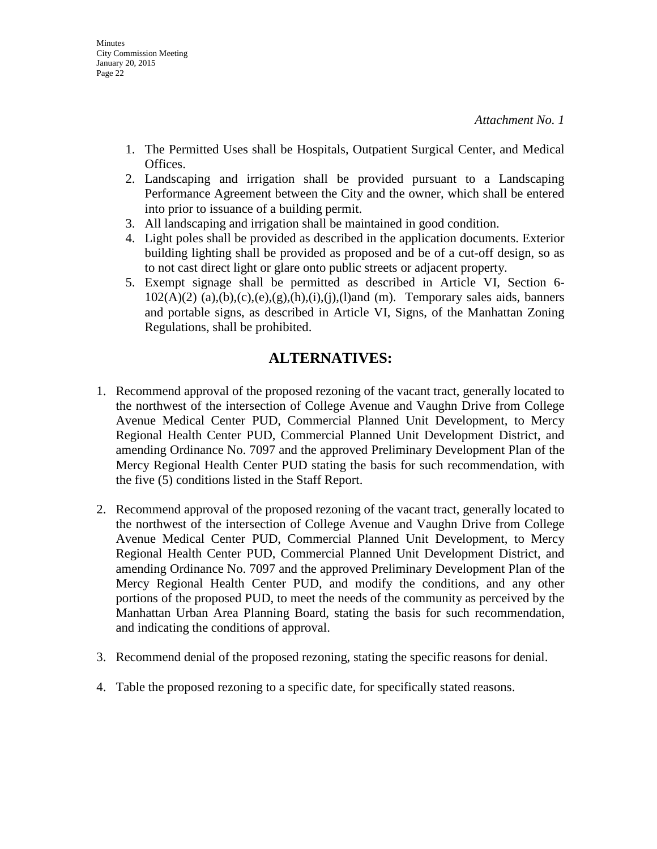- 1. The Permitted Uses shall be Hospitals, Outpatient Surgical Center, and Medical Offices.
- 2. Landscaping and irrigation shall be provided pursuant to a Landscaping Performance Agreement between the City and the owner, which shall be entered into prior to issuance of a building permit.
- 3. All landscaping and irrigation shall be maintained in good condition.
- 4. Light poles shall be provided as described in the application documents. Exterior building lighting shall be provided as proposed and be of a cut-off design, so as to not cast direct light or glare onto public streets or adjacent property.
- 5. Exempt signage shall be permitted as described in Article VI, Section 6-  $102(A)(2)$  (a),(b),(c),(e),(g),(h),(i),(j),(l)and (m). Temporary sales aids, banners and portable signs, as described in Article VI, Signs, of the Manhattan Zoning Regulations, shall be prohibited.

# **ALTERNATIVES:**

- 1. Recommend approval of the proposed rezoning of the vacant tract, generally located to the northwest of the intersection of College Avenue and Vaughn Drive from College Avenue Medical Center PUD, Commercial Planned Unit Development, to Mercy Regional Health Center PUD, Commercial Planned Unit Development District, and amending Ordinance No. 7097 and the approved Preliminary Development Plan of the Mercy Regional Health Center PUD stating the basis for such recommendation, with the five (5) conditions listed in the Staff Report.
- 2. Recommend approval of the proposed rezoning of the vacant tract, generally located to the northwest of the intersection of College Avenue and Vaughn Drive from College Avenue Medical Center PUD, Commercial Planned Unit Development, to Mercy Regional Health Center PUD, Commercial Planned Unit Development District, and amending Ordinance No. 7097 and the approved Preliminary Development Plan of the Mercy Regional Health Center PUD, and modify the conditions, and any other portions of the proposed PUD, to meet the needs of the community as perceived by the Manhattan Urban Area Planning Board, stating the basis for such recommendation, and indicating the conditions of approval.
- 3. Recommend denial of the proposed rezoning, stating the specific reasons for denial.
- 4. Table the proposed rezoning to a specific date, for specifically stated reasons.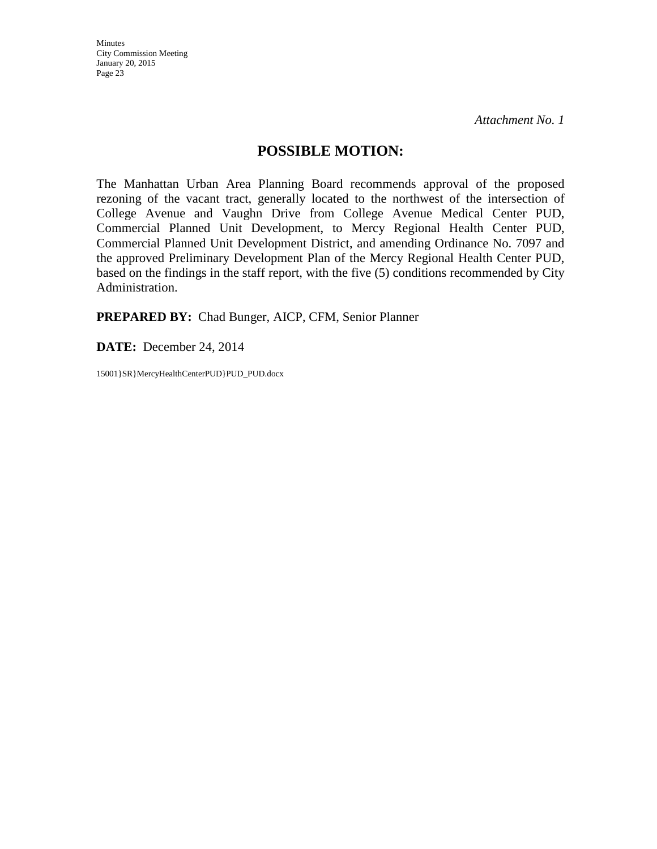# **POSSIBLE MOTION:**

The Manhattan Urban Area Planning Board recommends approval of the proposed rezoning of the vacant tract, generally located to the northwest of the intersection of College Avenue and Vaughn Drive from College Avenue Medical Center PUD, Commercial Planned Unit Development, to Mercy Regional Health Center PUD, Commercial Planned Unit Development District, and amending Ordinance No. 7097 and the approved Preliminary Development Plan of the Mercy Regional Health Center PUD, based on the findings in the staff report, with the five (5) conditions recommended by City Administration.

**PREPARED BY:** Chad Bunger, AICP, CFM, Senior Planner

**DATE:** December 24, 2014

15001}SR}MercyHealthCenterPUD}PUD\_PUD.docx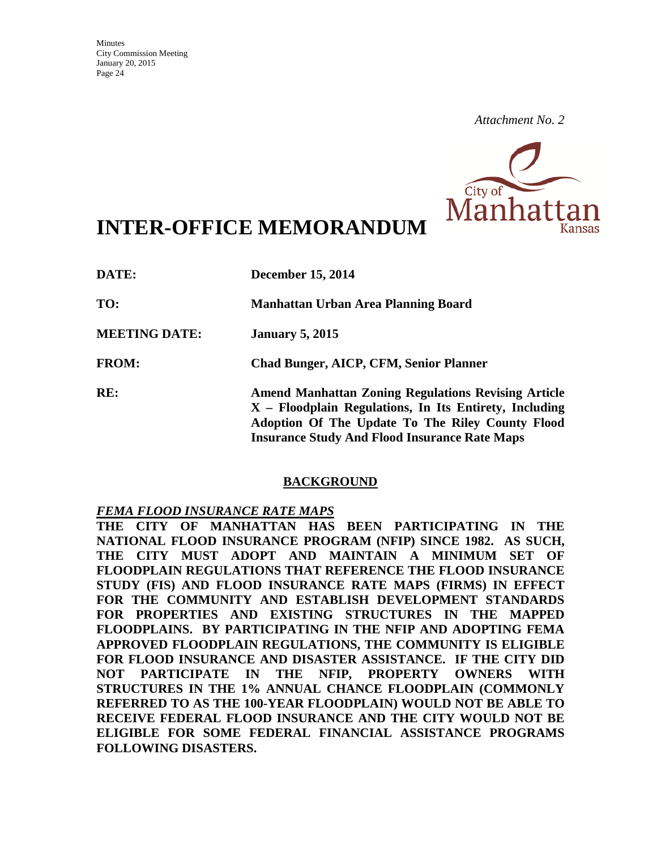

# **INTER-OFFICE MEMORANDUM**

| DATE:                | <b>December 15, 2014</b>                                                                                                                                                                                                           |
|----------------------|------------------------------------------------------------------------------------------------------------------------------------------------------------------------------------------------------------------------------------|
| TO:                  | Manhattan Urban Area Planning Board                                                                                                                                                                                                |
| <b>MEETING DATE:</b> | <b>January 5, 2015</b>                                                                                                                                                                                                             |
| <b>FROM:</b>         | <b>Chad Bunger, AICP, CFM, Senior Planner</b>                                                                                                                                                                                      |
| RE:                  | <b>Amend Manhattan Zoning Regulations Revising Article</b><br>$X$ – Floodplain Regulations, In Its Entirety, Including<br>Adoption Of The Update To The Riley County Flood<br><b>Insurance Study And Flood Insurance Rate Maps</b> |

# **BACKGROUND**

### *FEMA FLOOD INSURANCE RATE MAPS*

**THE CITY OF MANHATTAN HAS BEEN PARTICIPATING IN THE NATIONAL FLOOD INSURANCE PROGRAM (NFIP) SINCE 1982. AS SUCH, THE CITY MUST ADOPT AND MAINTAIN A MINIMUM SET OF FLOODPLAIN REGULATIONS THAT REFERENCE THE FLOOD INSURANCE STUDY (FIS) AND FLOOD INSURANCE RATE MAPS (FIRMS) IN EFFECT FOR THE COMMUNITY AND ESTABLISH DEVELOPMENT STANDARDS FOR PROPERTIES AND EXISTING STRUCTURES IN THE MAPPED FLOODPLAINS. BY PARTICIPATING IN THE NFIP AND ADOPTING FEMA APPROVED FLOODPLAIN REGULATIONS, THE COMMUNITY IS ELIGIBLE FOR FLOOD INSURANCE AND DISASTER ASSISTANCE. IF THE CITY DID NOT PARTICIPATE IN THE NFIP, PROPERTY OWNERS WITH STRUCTURES IN THE 1% ANNUAL CHANCE FLOODPLAIN (COMMONLY REFERRED TO AS THE 100-YEAR FLOODPLAIN) WOULD NOT BE ABLE TO RECEIVE FEDERAL FLOOD INSURANCE AND THE CITY WOULD NOT BE ELIGIBLE FOR SOME FEDERAL FINANCIAL ASSISTANCE PROGRAMS FOLLOWING DISASTERS.**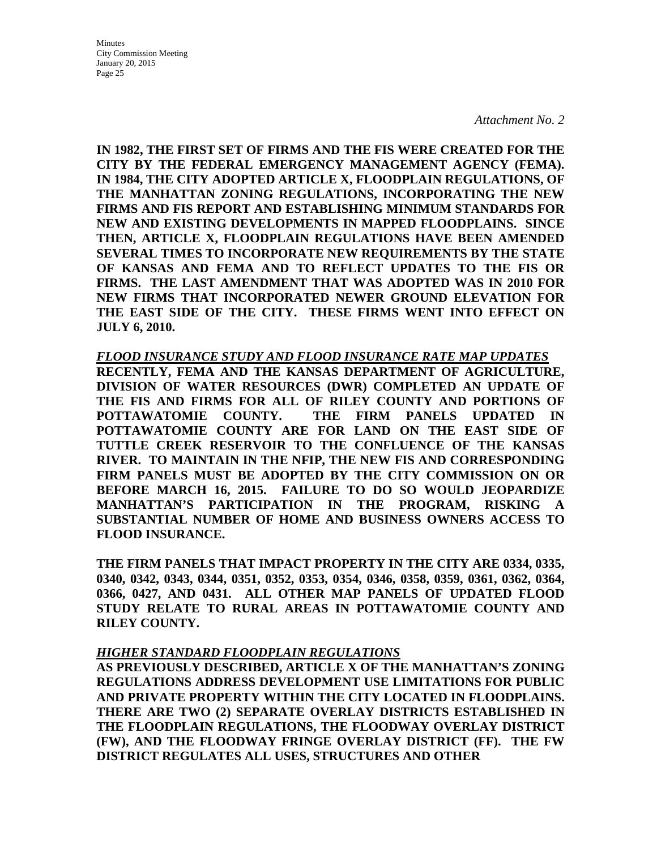Minutes City Commission Meeting January 20, 2015 Page 25

*Attachment No. 2*

**IN 1982, THE FIRST SET OF FIRMS AND THE FIS WERE CREATED FOR THE CITY BY THE FEDERAL EMERGENCY MANAGEMENT AGENCY (FEMA). IN 1984, THE CITY ADOPTED ARTICLE X, FLOODPLAIN REGULATIONS, OF THE MANHATTAN ZONING REGULATIONS, INCORPORATING THE NEW FIRMS AND FIS REPORT AND ESTABLISHING MINIMUM STANDARDS FOR NEW AND EXISTING DEVELOPMENTS IN MAPPED FLOODPLAINS. SINCE THEN, ARTICLE X, FLOODPLAIN REGULATIONS HAVE BEEN AMENDED SEVERAL TIMES TO INCORPORATE NEW REQUIREMENTS BY THE STATE OF KANSAS AND FEMA AND TO REFLECT UPDATES TO THE FIS OR FIRMS. THE LAST AMENDMENT THAT WAS ADOPTED WAS IN 2010 FOR NEW FIRMS THAT INCORPORATED NEWER GROUND ELEVATION FOR THE EAST SIDE OF THE CITY. THESE FIRMS WENT INTO EFFECT ON JULY 6, 2010.** 

### *FLOOD INSURANCE STUDY AND FLOOD INSURANCE RATE MAP UPDATES*

**RECENTLY, FEMA AND THE KANSAS DEPARTMENT OF AGRICULTURE, DIVISION OF WATER RESOURCES (DWR) COMPLETED AN UPDATE OF THE FIS AND FIRMS FOR ALL OF RILEY COUNTY AND PORTIONS OF POTTAWATOMIE COUNTY. THE FIRM PANELS UPDATED IN POTTAWATOMIE COUNTY ARE FOR LAND ON THE EAST SIDE OF TUTTLE CREEK RESERVOIR TO THE CONFLUENCE OF THE KANSAS RIVER. TO MAINTAIN IN THE NFIP, THE NEW FIS AND CORRESPONDING FIRM PANELS MUST BE ADOPTED BY THE CITY COMMISSION ON OR BEFORE MARCH 16, 2015. FAILURE TO DO SO WOULD JEOPARDIZE MANHATTAN'S PARTICIPATION IN THE PROGRAM, RISKING A SUBSTANTIAL NUMBER OF HOME AND BUSINESS OWNERS ACCESS TO FLOOD INSURANCE.** 

**THE FIRM PANELS THAT IMPACT PROPERTY IN THE CITY ARE 0334, 0335, 0340, 0342, 0343, 0344, 0351, 0352, 0353, 0354, 0346, 0358, 0359, 0361, 0362, 0364, 0366, 0427, AND 0431. ALL OTHER MAP PANELS OF UPDATED FLOOD STUDY RELATE TO RURAL AREAS IN POTTAWATOMIE COUNTY AND RILEY COUNTY.**

### *HIGHER STANDARD FLOODPLAIN REGULATIONS*

**AS PREVIOUSLY DESCRIBED, ARTICLE X OF THE MANHATTAN'S ZONING REGULATIONS ADDRESS DEVELOPMENT USE LIMITATIONS FOR PUBLIC AND PRIVATE PROPERTY WITHIN THE CITY LOCATED IN FLOODPLAINS. THERE ARE TWO (2) SEPARATE OVERLAY DISTRICTS ESTABLISHED IN THE FLOODPLAIN REGULATIONS, THE FLOODWAY OVERLAY DISTRICT (FW), AND THE FLOODWAY FRINGE OVERLAY DISTRICT (FF). THE FW DISTRICT REGULATES ALL USES, STRUCTURES AND OTHER**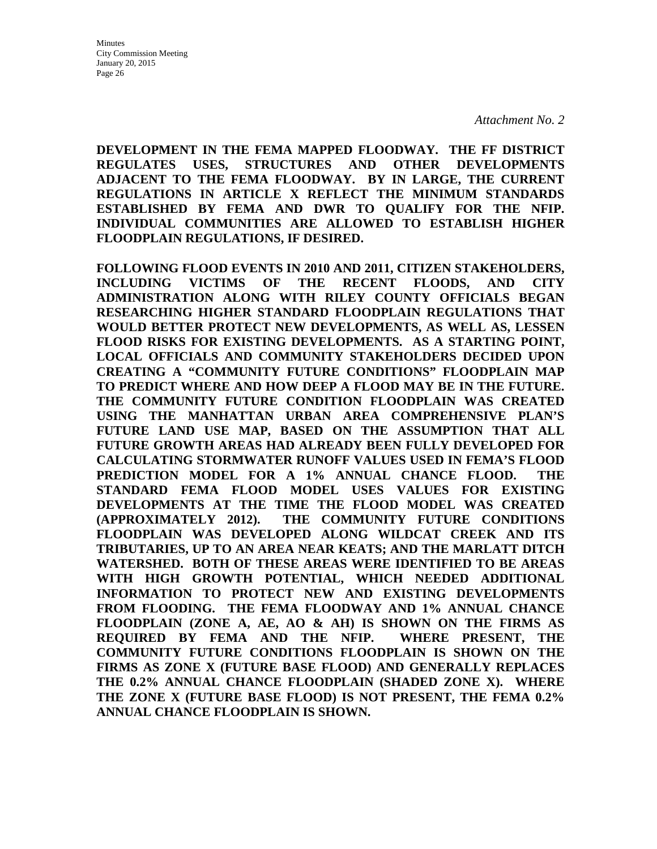**DEVELOPMENT IN THE FEMA MAPPED FLOODWAY. THE FF DISTRICT REGULATES USES, STRUCTURES AND OTHER DEVELOPMENTS ADJACENT TO THE FEMA FLOODWAY. BY IN LARGE, THE CURRENT REGULATIONS IN ARTICLE X REFLECT THE MINIMUM STANDARDS ESTABLISHED BY FEMA AND DWR TO QUALIFY FOR THE NFIP. INDIVIDUAL COMMUNITIES ARE ALLOWED TO ESTABLISH HIGHER FLOODPLAIN REGULATIONS, IF DESIRED.** 

**FOLLOWING FLOOD EVENTS IN 2010 AND 2011, CITIZEN STAKEHOLDERS, INCLUDING VICTIMS OF THE RECENT FLOODS, AND CITY ADMINISTRATION ALONG WITH RILEY COUNTY OFFICIALS BEGAN RESEARCHING HIGHER STANDARD FLOODPLAIN REGULATIONS THAT WOULD BETTER PROTECT NEW DEVELOPMENTS, AS WELL AS, LESSEN FLOOD RISKS FOR EXISTING DEVELOPMENTS. AS A STARTING POINT, LOCAL OFFICIALS AND COMMUNITY STAKEHOLDERS DECIDED UPON CREATING A "COMMUNITY FUTURE CONDITIONS" FLOODPLAIN MAP TO PREDICT WHERE AND HOW DEEP A FLOOD MAY BE IN THE FUTURE. THE COMMUNITY FUTURE CONDITION FLOODPLAIN WAS CREATED USING THE MANHATTAN URBAN AREA COMPREHENSIVE PLAN'S FUTURE LAND USE MAP, BASED ON THE ASSUMPTION THAT ALL FUTURE GROWTH AREAS HAD ALREADY BEEN FULLY DEVELOPED FOR CALCULATING STORMWATER RUNOFF VALUES USED IN FEMA'S FLOOD PREDICTION MODEL FOR A 1% ANNUAL CHANCE FLOOD. THE STANDARD FEMA FLOOD MODEL USES VALUES FOR EXISTING DEVELOPMENTS AT THE TIME THE FLOOD MODEL WAS CREATED (APPROXIMATELY 2012). THE COMMUNITY FUTURE CONDITIONS FLOODPLAIN WAS DEVELOPED ALONG WILDCAT CREEK AND ITS TRIBUTARIES, UP TO AN AREA NEAR KEATS; AND THE MARLATT DITCH WATERSHED. BOTH OF THESE AREAS WERE IDENTIFIED TO BE AREAS WITH HIGH GROWTH POTENTIAL, WHICH NEEDED ADDITIONAL INFORMATION TO PROTECT NEW AND EXISTING DEVELOPMENTS FROM FLOODING. THE FEMA FLOODWAY AND 1% ANNUAL CHANCE FLOODPLAIN (ZONE A, AE, AO & AH) IS SHOWN ON THE FIRMS AS REQUIRED BY FEMA AND THE NFIP. WHERE PRESENT, THE COMMUNITY FUTURE CONDITIONS FLOODPLAIN IS SHOWN ON THE FIRMS AS ZONE X (FUTURE BASE FLOOD) AND GENERALLY REPLACES THE 0.2% ANNUAL CHANCE FLOODPLAIN (SHADED ZONE X). WHERE THE ZONE X (FUTURE BASE FLOOD) IS NOT PRESENT, THE FEMA 0.2% ANNUAL CHANCE FLOODPLAIN IS SHOWN.**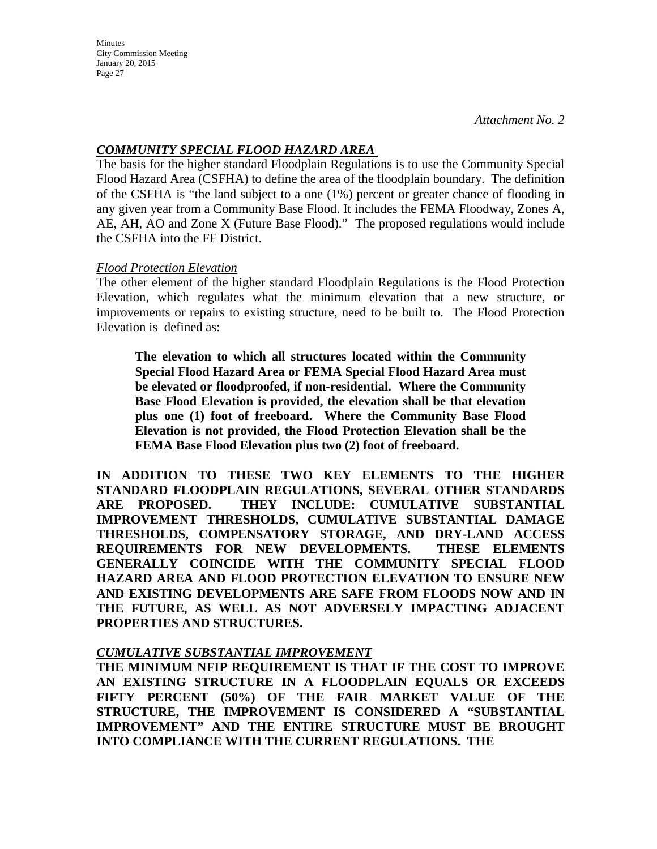**Minutes** City Commission Meeting January 20, 2015 Page 27

# *COMMUNITY SPECIAL FLOOD HAZARD AREA*

The basis for the higher standard Floodplain Regulations is to use the Community Special Flood Hazard Area (CSFHA) to define the area of the floodplain boundary. The definition of the CSFHA is "the land subject to a one (1%) percent or greater chance of flooding in any given year from a Community Base Flood. It includes the FEMA Floodway, Zones A, AE, AH, AO and Zone X (Future Base Flood)." The proposed regulations would include the CSFHA into the FF District.

### *Flood Protection Elevation*

The other element of the higher standard Floodplain Regulations is the Flood Protection Elevation, which regulates what the minimum elevation that a new structure, or improvements or repairs to existing structure, need to be built to. The Flood Protection Elevation is defined as:

**The elevation to which all structures located within the Community Special Flood Hazard Area or FEMA Special Flood Hazard Area must be elevated or floodproofed, if non-residential. Where the Community Base Flood Elevation is provided, the elevation shall be that elevation plus one (1) foot of freeboard. Where the Community Base Flood Elevation is not provided, the Flood Protection Elevation shall be the FEMA Base Flood Elevation plus two (2) foot of freeboard.** 

**IN ADDITION TO THESE TWO KEY ELEMENTS TO THE HIGHER STANDARD FLOODPLAIN REGULATIONS, SEVERAL OTHER STANDARDS ARE PROPOSED. THEY INCLUDE: CUMULATIVE SUBSTANTIAL IMPROVEMENT THRESHOLDS, CUMULATIVE SUBSTANTIAL DAMAGE THRESHOLDS, COMPENSATORY STORAGE, AND DRY-LAND ACCESS REQUIREMENTS FOR NEW DEVELOPMENTS. THESE ELEMENTS GENERALLY COINCIDE WITH THE COMMUNITY SPECIAL FLOOD HAZARD AREA AND FLOOD PROTECTION ELEVATION TO ENSURE NEW AND EXISTING DEVELOPMENTS ARE SAFE FROM FLOODS NOW AND IN THE FUTURE, AS WELL AS NOT ADVERSELY IMPACTING ADJACENT PROPERTIES AND STRUCTURES.**

# *CUMULATIVE SUBSTANTIAL IMPROVEMENT*

**THE MINIMUM NFIP REQUIREMENT IS THAT IF THE COST TO IMPROVE AN EXISTING STRUCTURE IN A FLOODPLAIN EQUALS OR EXCEEDS FIFTY PERCENT (50%) OF THE FAIR MARKET VALUE OF THE STRUCTURE, THE IMPROVEMENT IS CONSIDERED A "SUBSTANTIAL IMPROVEMENT" AND THE ENTIRE STRUCTURE MUST BE BROUGHT INTO COMPLIANCE WITH THE CURRENT REGULATIONS. THE**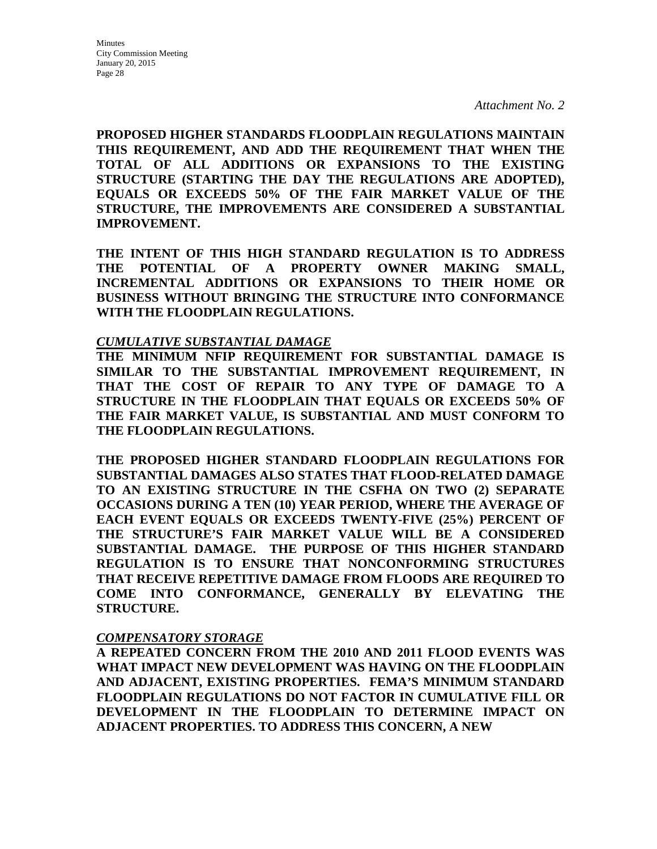**PROPOSED HIGHER STANDARDS FLOODPLAIN REGULATIONS MAINTAIN THIS REQUIREMENT, AND ADD THE REQUIREMENT THAT WHEN THE TOTAL OF ALL ADDITIONS OR EXPANSIONS TO THE EXISTING STRUCTURE (STARTING THE DAY THE REGULATIONS ARE ADOPTED), EQUALS OR EXCEEDS 50% OF THE FAIR MARKET VALUE OF THE STRUCTURE, THE IMPROVEMENTS ARE CONSIDERED A SUBSTANTIAL IMPROVEMENT.** 

**THE INTENT OF THIS HIGH STANDARD REGULATION IS TO ADDRESS THE POTENTIAL OF A PROPERTY OWNER MAKING SMALL, INCREMENTAL ADDITIONS OR EXPANSIONS TO THEIR HOME OR BUSINESS WITHOUT BRINGING THE STRUCTURE INTO CONFORMANCE WITH THE FLOODPLAIN REGULATIONS.** 

### *CUMULATIVE SUBSTANTIAL DAMAGE*

**THE MINIMUM NFIP REQUIREMENT FOR SUBSTANTIAL DAMAGE IS SIMILAR TO THE SUBSTANTIAL IMPROVEMENT REQUIREMENT, IN THAT THE COST OF REPAIR TO ANY TYPE OF DAMAGE TO A STRUCTURE IN THE FLOODPLAIN THAT EQUALS OR EXCEEDS 50% OF THE FAIR MARKET VALUE, IS SUBSTANTIAL AND MUST CONFORM TO THE FLOODPLAIN REGULATIONS.**

**THE PROPOSED HIGHER STANDARD FLOODPLAIN REGULATIONS FOR SUBSTANTIAL DAMAGES ALSO STATES THAT FLOOD-RELATED DAMAGE TO AN EXISTING STRUCTURE IN THE CSFHA ON TWO (2) SEPARATE OCCASIONS DURING A TEN (10) YEAR PERIOD, WHERE THE AVERAGE OF EACH EVENT EQUALS OR EXCEEDS TWENTY-FIVE (25%) PERCENT OF THE STRUCTURE'S FAIR MARKET VALUE WILL BE A CONSIDERED SUBSTANTIAL DAMAGE. THE PURPOSE OF THIS HIGHER STANDARD REGULATION IS TO ENSURE THAT NONCONFORMING STRUCTURES THAT RECEIVE REPETITIVE DAMAGE FROM FLOODS ARE REQUIRED TO COME INTO CONFORMANCE, GENERALLY BY ELEVATING THE STRUCTURE.**

### *COMPENSATORY STORAGE*

**A REPEATED CONCERN FROM THE 2010 AND 2011 FLOOD EVENTS WAS WHAT IMPACT NEW DEVELOPMENT WAS HAVING ON THE FLOODPLAIN AND ADJACENT, EXISTING PROPERTIES. FEMA'S MINIMUM STANDARD FLOODPLAIN REGULATIONS DO NOT FACTOR IN CUMULATIVE FILL OR DEVELOPMENT IN THE FLOODPLAIN TO DETERMINE IMPACT ON ADJACENT PROPERTIES. TO ADDRESS THIS CONCERN, A NEW**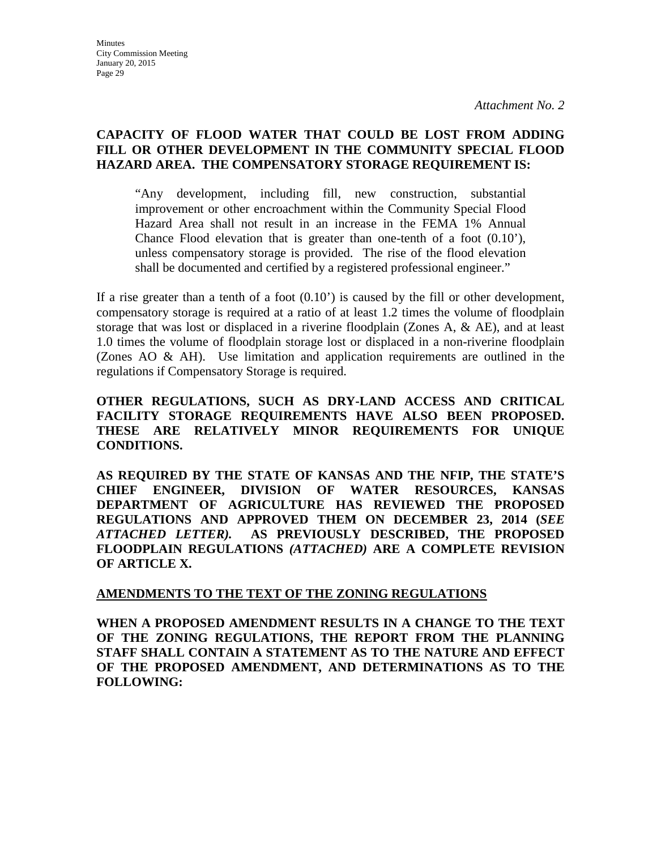**Minutes** City Commission Meeting January 20, 2015 Page 29

*Attachment No. 2*

# **CAPACITY OF FLOOD WATER THAT COULD BE LOST FROM ADDING FILL OR OTHER DEVELOPMENT IN THE COMMUNITY SPECIAL FLOOD HAZARD AREA. THE COMPENSATORY STORAGE REQUIREMENT IS:**

"Any development, including fill, new construction, substantial improvement or other encroachment within the Community Special Flood Hazard Area shall not result in an increase in the FEMA 1% Annual Chance Flood elevation that is greater than one-tenth of a foot (0.10'), unless compensatory storage is provided. The rise of the flood elevation shall be documented and certified by a registered professional engineer."

If a rise greater than a tenth of a foot (0.10') is caused by the fill or other development, compensatory storage is required at a ratio of at least 1.2 times the volume of floodplain storage that was lost or displaced in a riverine floodplain (Zones A, & AE), and at least 1.0 times the volume of floodplain storage lost or displaced in a non-riverine floodplain (Zones AO & AH). Use limitation and application requirements are outlined in the regulations if Compensatory Storage is required.

**OTHER REGULATIONS, SUCH AS DRY-LAND ACCESS AND CRITICAL FACILITY STORAGE REQUIREMENTS HAVE ALSO BEEN PROPOSED. THESE ARE RELATIVELY MINOR REQUIREMENTS FOR UNIQUE CONDITIONS.**

**AS REQUIRED BY THE STATE OF KANSAS AND THE NFIP, THE STATE'S CHIEF ENGINEER, DIVISION OF WATER RESOURCES, KANSAS DEPARTMENT OF AGRICULTURE HAS REVIEWED THE PROPOSED REGULATIONS AND APPROVED THEM ON DECEMBER 23, 2014 (***SEE ATTACHED LETTER).* **AS PREVIOUSLY DESCRIBED, THE PROPOSED FLOODPLAIN REGULATIONS** *(ATTACHED)* **ARE A COMPLETE REVISION OF ARTICLE X.** 

### **AMENDMENTS TO THE TEXT OF THE ZONING REGULATIONS**

**WHEN A PROPOSED AMENDMENT RESULTS IN A CHANGE TO THE TEXT OF THE ZONING REGULATIONS, THE REPORT FROM THE PLANNING STAFF SHALL CONTAIN A STATEMENT AS TO THE NATURE AND EFFECT OF THE PROPOSED AMENDMENT, AND DETERMINATIONS AS TO THE FOLLOWING:**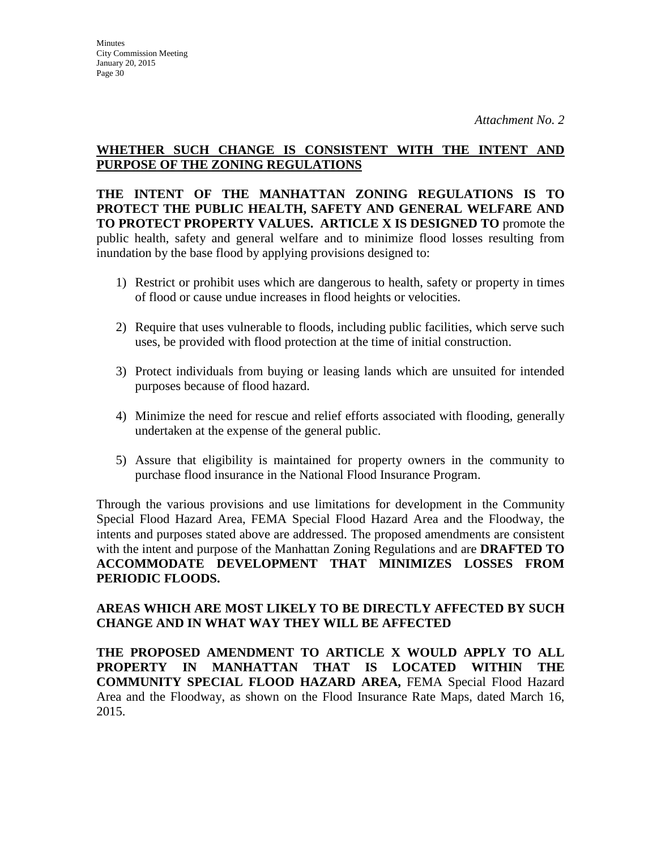# **WHETHER SUCH CHANGE IS CONSISTENT WITH THE INTENT AND PURPOSE OF THE ZONING REGULATIONS**

**THE INTENT OF THE MANHATTAN ZONING REGULATIONS IS TO PROTECT THE PUBLIC HEALTH, SAFETY AND GENERAL WELFARE AND TO PROTECT PROPERTY VALUES. ARTICLE X IS DESIGNED TO** promote the public health, safety and general welfare and to minimize flood losses resulting from inundation by the base flood by applying provisions designed to:

- 1) Restrict or prohibit uses which are dangerous to health, safety or property in times of flood or cause undue increases in flood heights or velocities.
- 2) Require that uses vulnerable to floods, including public facilities, which serve such uses, be provided with flood protection at the time of initial construction.
- 3) Protect individuals from buying or leasing lands which are unsuited for intended purposes because of flood hazard.
- 4) Minimize the need for rescue and relief efforts associated with flooding, generally undertaken at the expense of the general public.
- 5) Assure that eligibility is maintained for property owners in the community to purchase flood insurance in the National Flood Insurance Program.

Through the various provisions and use limitations for development in the Community Special Flood Hazard Area, FEMA Special Flood Hazard Area and the Floodway, the intents and purposes stated above are addressed. The proposed amendments are consistent with the intent and purpose of the Manhattan Zoning Regulations and are **DRAFTED TO ACCOMMODATE DEVELOPMENT THAT MINIMIZES LOSSES FROM PERIODIC FLOODS.**

# **AREAS WHICH ARE MOST LIKELY TO BE DIRECTLY AFFECTED BY SUCH CHANGE AND IN WHAT WAY THEY WILL BE AFFECTED**

**THE PROPOSED AMENDMENT TO ARTICLE X WOULD APPLY TO ALL PROPERTY IN MANHATTAN THAT IS LOCATED WITHIN THE COMMUNITY SPECIAL FLOOD HAZARD AREA,** FEMA Special Flood Hazard Area and the Floodway, as shown on the Flood Insurance Rate Maps, dated March 16, 2015.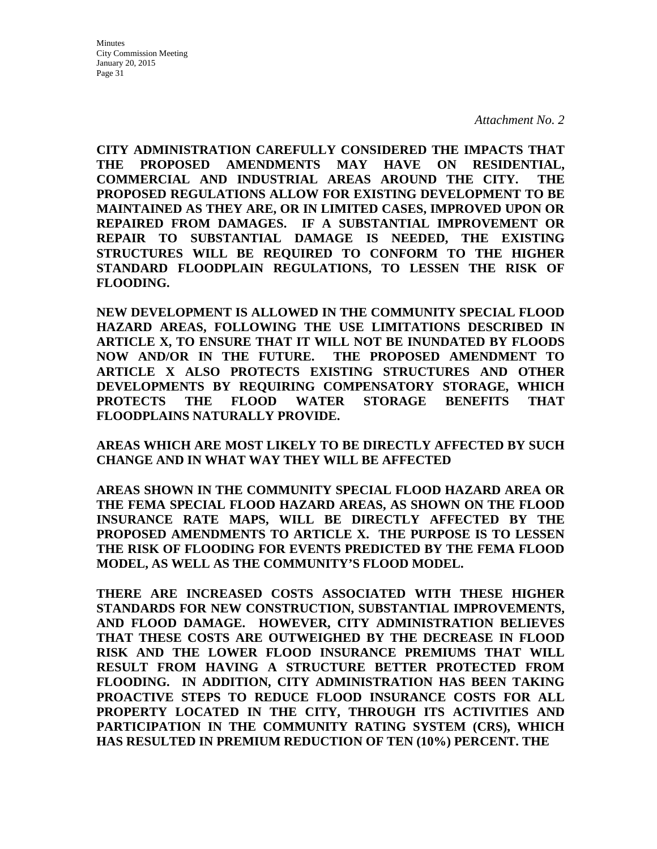**CITY ADMINISTRATION CAREFULLY CONSIDERED THE IMPACTS THAT THE PROPOSED AMENDMENTS MAY HAVE ON RESIDENTIAL, COMMERCIAL AND INDUSTRIAL AREAS AROUND THE CITY. THE PROPOSED REGULATIONS ALLOW FOR EXISTING DEVELOPMENT TO BE MAINTAINED AS THEY ARE, OR IN LIMITED CASES, IMPROVED UPON OR REPAIRED FROM DAMAGES. IF A SUBSTANTIAL IMPROVEMENT OR REPAIR TO SUBSTANTIAL DAMAGE IS NEEDED, THE EXISTING STRUCTURES WILL BE REQUIRED TO CONFORM TO THE HIGHER STANDARD FLOODPLAIN REGULATIONS, TO LESSEN THE RISK OF FLOODING.** 

**NEW DEVELOPMENT IS ALLOWED IN THE COMMUNITY SPECIAL FLOOD HAZARD AREAS, FOLLOWING THE USE LIMITATIONS DESCRIBED IN ARTICLE X, TO ENSURE THAT IT WILL NOT BE INUNDATED BY FLOODS NOW AND/OR IN THE FUTURE. THE PROPOSED AMENDMENT TO ARTICLE X ALSO PROTECTS EXISTING STRUCTURES AND OTHER DEVELOPMENTS BY REQUIRING COMPENSATORY STORAGE, WHICH PROTECTS THE FLOOD WATER STORAGE BENEFITS THAT FLOODPLAINS NATURALLY PROVIDE.** 

**AREAS WHICH ARE MOST LIKELY TO BE DIRECTLY AFFECTED BY SUCH CHANGE AND IN WHAT WAY THEY WILL BE AFFECTED**

**AREAS SHOWN IN THE COMMUNITY SPECIAL FLOOD HAZARD AREA OR THE FEMA SPECIAL FLOOD HAZARD AREAS, AS SHOWN ON THE FLOOD INSURANCE RATE MAPS, WILL BE DIRECTLY AFFECTED BY THE PROPOSED AMENDMENTS TO ARTICLE X. THE PURPOSE IS TO LESSEN THE RISK OF FLOODING FOR EVENTS PREDICTED BY THE FEMA FLOOD MODEL, AS WELL AS THE COMMUNITY'S FLOOD MODEL.** 

**THERE ARE INCREASED COSTS ASSOCIATED WITH THESE HIGHER STANDARDS FOR NEW CONSTRUCTION, SUBSTANTIAL IMPROVEMENTS, AND FLOOD DAMAGE. HOWEVER, CITY ADMINISTRATION BELIEVES THAT THESE COSTS ARE OUTWEIGHED BY THE DECREASE IN FLOOD RISK AND THE LOWER FLOOD INSURANCE PREMIUMS THAT WILL RESULT FROM HAVING A STRUCTURE BETTER PROTECTED FROM FLOODING. IN ADDITION, CITY ADMINISTRATION HAS BEEN TAKING PROACTIVE STEPS TO REDUCE FLOOD INSURANCE COSTS FOR ALL PROPERTY LOCATED IN THE CITY, THROUGH ITS ACTIVITIES AND PARTICIPATION IN THE COMMUNITY RATING SYSTEM (CRS), WHICH HAS RESULTED IN PREMIUM REDUCTION OF TEN (10%) PERCENT. THE**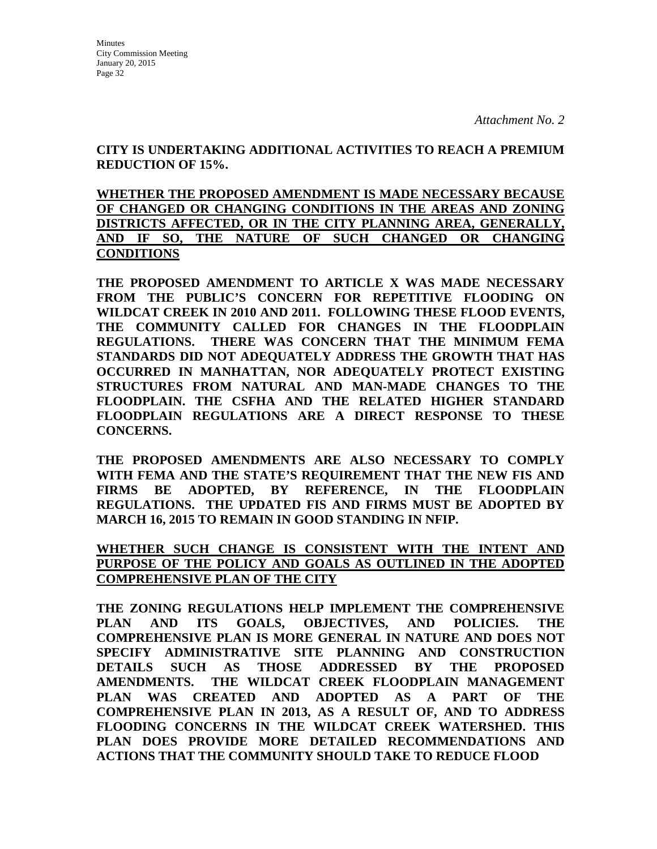**CITY IS UNDERTAKING ADDITIONAL ACTIVITIES TO REACH A PREMIUM REDUCTION OF 15%.** 

**WHETHER THE PROPOSED AMENDMENT IS MADE NECESSARY BECAUSE OF CHANGED OR CHANGING CONDITIONS IN THE AREAS AND ZONING DISTRICTS AFFECTED, OR IN THE CITY PLANNING AREA, GENERALLY, AND IF SO, THE NATURE OF SUCH CHANGED OR CHANGING CONDITIONS**

**THE PROPOSED AMENDMENT TO ARTICLE X WAS MADE NECESSARY FROM THE PUBLIC'S CONCERN FOR REPETITIVE FLOODING ON WILDCAT CREEK IN 2010 AND 2011. FOLLOWING THESE FLOOD EVENTS, THE COMMUNITY CALLED FOR CHANGES IN THE FLOODPLAIN REGULATIONS. THERE WAS CONCERN THAT THE MINIMUM FEMA STANDARDS DID NOT ADEQUATELY ADDRESS THE GROWTH THAT HAS OCCURRED IN MANHATTAN, NOR ADEQUATELY PROTECT EXISTING STRUCTURES FROM NATURAL AND MAN-MADE CHANGES TO THE FLOODPLAIN. THE CSFHA AND THE RELATED HIGHER STANDARD FLOODPLAIN REGULATIONS ARE A DIRECT RESPONSE TO THESE CONCERNS.**

**THE PROPOSED AMENDMENTS ARE ALSO NECESSARY TO COMPLY WITH FEMA AND THE STATE'S REQUIREMENT THAT THE NEW FIS AND FIRMS BE ADOPTED, BY REFERENCE, IN THE FLOODPLAIN REGULATIONS. THE UPDATED FIS AND FIRMS MUST BE ADOPTED BY MARCH 16, 2015 TO REMAIN IN GOOD STANDING IN NFIP.**

**WHETHER SUCH CHANGE IS CONSISTENT WITH THE INTENT AND PURPOSE OF THE POLICY AND GOALS AS OUTLINED IN THE ADOPTED COMPREHENSIVE PLAN OF THE CITY**

**THE ZONING REGULATIONS HELP IMPLEMENT THE COMPREHENSIVE PLAN AND ITS GOALS, OBJECTIVES, AND POLICIES. THE COMPREHENSIVE PLAN IS MORE GENERAL IN NATURE AND DOES NOT SPECIFY ADMINISTRATIVE SITE PLANNING AND CONSTRUCTION DETAILS SUCH AS THOSE ADDRESSED BY THE PROPOSED AMENDMENTS. THE WILDCAT CREEK FLOODPLAIN MANAGEMENT PLAN WAS CREATED AND ADOPTED AS A PART OF THE COMPREHENSIVE PLAN IN 2013, AS A RESULT OF, AND TO ADDRESS FLOODING CONCERNS IN THE WILDCAT CREEK WATERSHED. THIS PLAN DOES PROVIDE MORE DETAILED RECOMMENDATIONS AND ACTIONS THAT THE COMMUNITY SHOULD TAKE TO REDUCE FLOOD**